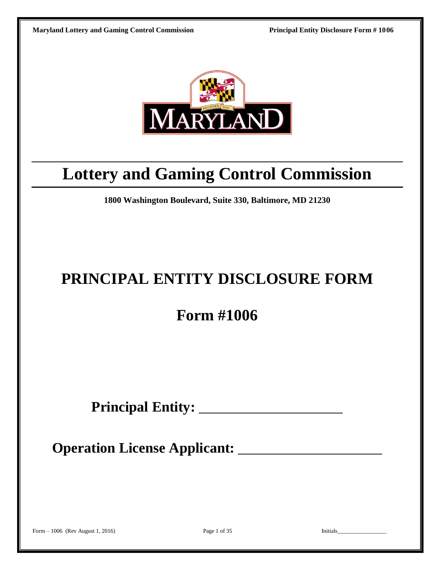

# **Lottery and Gaming Control Commission**

**1800 Washington Boulevard, Suite 330, Baltimore, MD 21230**

# **PRINCIPAL ENTITY DISCLOSURE FORM**

# **Form #1006**

**Principal Entity:** \_\_\_\_\_\_\_\_\_\_\_\_\_\_\_\_\_\_\_\_

**Operation License Applicant:** \_\_\_\_\_\_\_\_\_\_\_\_\_\_\_\_\_\_\_\_

Form – 1006 (Rev August 1, 2016) Page 1 of 35 Initials\_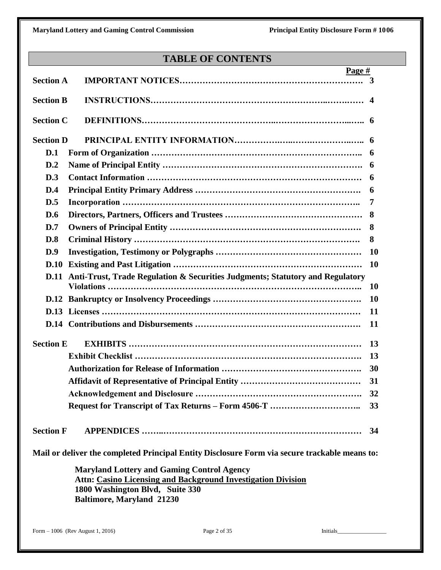# **TABLE OF CONTENTS**

|                  | Page #                                                                                                                                                                                          |           |
|------------------|-------------------------------------------------------------------------------------------------------------------------------------------------------------------------------------------------|-----------|
| <b>Section A</b> |                                                                                                                                                                                                 | 3         |
| <b>Section B</b> |                                                                                                                                                                                                 | 4         |
| <b>Section C</b> |                                                                                                                                                                                                 |           |
| <b>Section D</b> |                                                                                                                                                                                                 |           |
| D.1              |                                                                                                                                                                                                 | 6         |
| D.2              |                                                                                                                                                                                                 | 6         |
| D.3              |                                                                                                                                                                                                 | 6         |
| D.4              |                                                                                                                                                                                                 | 6         |
| D.5              |                                                                                                                                                                                                 | 7         |
| D.6              |                                                                                                                                                                                                 | 8         |
| D.7              |                                                                                                                                                                                                 | 8         |
| D.8              |                                                                                                                                                                                                 | 8         |
| D.9              |                                                                                                                                                                                                 | <b>10</b> |
| D.10             |                                                                                                                                                                                                 | <b>10</b> |
|                  | D.11 Anti-Trust, Trade Regulation & Securities Judgments; Statutory and Regulatory                                                                                                              |           |
|                  |                                                                                                                                                                                                 | <b>10</b> |
|                  |                                                                                                                                                                                                 | <b>10</b> |
|                  |                                                                                                                                                                                                 | 11        |
|                  |                                                                                                                                                                                                 | 11        |
| <b>Section E</b> |                                                                                                                                                                                                 | 13        |
|                  |                                                                                                                                                                                                 | 13        |
|                  |                                                                                                                                                                                                 | 30        |
|                  |                                                                                                                                                                                                 | 31        |
|                  |                                                                                                                                                                                                 | 32        |
|                  |                                                                                                                                                                                                 | 33        |
| <b>Section F</b> |                                                                                                                                                                                                 | 34        |
|                  | Mail or deliver the completed Principal Entity Disclosure Form via secure trackable means to:                                                                                                   |           |
|                  | <b>Maryland Lottery and Gaming Control Agency</b><br><b>Attn: Casino Licensing and Background Investigation Division</b><br>1800 Washington Blvd, Suite 330<br><b>Baltimore, Maryland 21230</b> |           |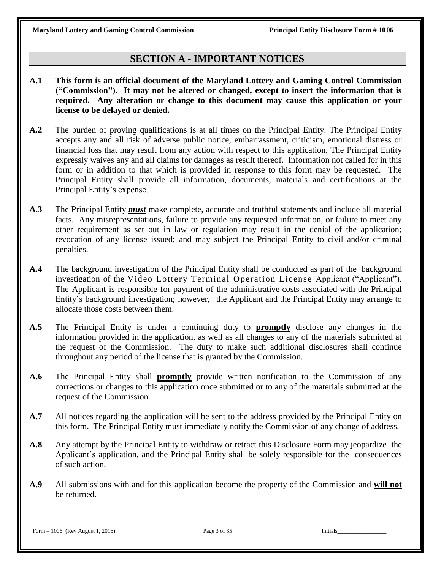# **SECTION A - IMPORTANT NOTICES**

- **A.1 This form is an official document of the Maryland Lottery and Gaming Control Commission ("Commission"). It may not be altered or changed, except to insert the information that is required. Any alteration or change to this document may cause this application or your license to be delayed or denied.**
- **A.2** The burden of proving qualifications is at all times on the Principal Entity. The Principal Entity accepts any and all risk of adverse public notice, embarrassment, criticism, emotional distress or financial loss that may result from any action with respect to this application. The Principal Entity expressly waives any and all claims for damages as result thereof. Information not called for in this form or in addition to that which is provided in response to this form may be requested. The Principal Entity shall provide all information, documents, materials and certifications at the Principal Entity's expense.
- **A.3** The Principal Entity *must* make complete, accurate and truthful statements and include all material facts. Any misrepresentations, failure to provide any requested information, or failure to meet any other requirement as set out in law or regulation may result in the denial of the application; revocation of any license issued; and may subject the Principal Entity to civil and/or criminal penalties.
- **A.4** The background investigation of the Principal Entity shall be conducted as part of the background investigation of the Video Lottery Terminal Operation License Applicant ("Applicant"). The Applicant is responsible for payment of the administrative costs associated with the Principal Entity's background investigation; however, the Applicant and the Principal Entity may arrange to allocate those costs between them.
- **A.5** The Principal Entity is under a continuing duty to **promptly** disclose any changes in the information provided in the application, as well as all changes to any of the materials submitted at the request of the Commission. The duty to make such additional disclosures shall continue throughout any period of the license that is granted by the Commission.
- **A.6** The Principal Entity shall **promptly** provide written notification to the Commission of any corrections or changes to this application once submitted or to any of the materials submitted at the request of the Commission.
- **A.7** All notices regarding the application will be sent to the address provided by the Principal Entity on this form. The Principal Entity must immediately notify the Commission of any change of address.
- **A.8** Any attempt by the Principal Entity to withdraw or retract this Disclosure Form may jeopardize the Applicant's application, and the Principal Entity shall be solely responsible for the consequences of such action.
- **A.9** All submissions with and for this application become the property of the Commission and **will not** be returned.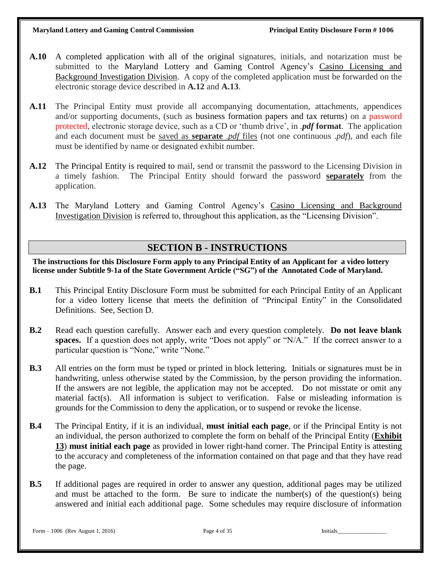- **A.10** A completed application with all of the original signatures, initials, and notarization must be submitted to the Maryland Lottery and Gaming Control Agency's Casino Licensing and Background Investigation Division. A copy of the completed application must be forwarded on the electronic storage device described in **A.12** and **A.13**.
- **A.11** The Principal Entity must provide all accompanying documentation, attachments, appendices and/or supporting documents, (such as business formation papers and tax returns) on a password protected, electronic storage device, such as a CD or 'thumb drive', in .*pdf* **format**. The application and each document must be saved as **separate** .*pdf* files (not one continuous .*pdf*), and each file must be identified by name or designated exhibit number.
- **A.12** The Principal Entity is required to mail, send or transmit the password to the Licensing Division in a timely fashion. The Principal Entity should forward the password **separately** from the application.
- **A.13** The Maryland Lottery and Gaming Control Agency's Casino Licensing and Background Investigation Division is referred to, throughout this application, as the "Licensing Division".

# **SECTION B - INSTRUCTIONS**

**The instructions for this Disclosure Form apply to any Principal Entity of an Applicant for a video lottery license under Subtitle 9-1a of the State Government Article ("SG") of the Annotated Code of Maryland.**

- **B.1** This Principal Entity Disclosure Form must be submitted for each Principal Entity of an Applicant for a video lottery license that meets the definition of "Principal Entity" in the Consolidated Definitions. See, Section D.
- **B.2** Read each question carefully. Answer each and every question completely. **Do not leave blank spaces.** If a question does not apply, write "Does not apply" or "N/A." If the correct answer to a particular question is "None," write "None."
- **B.3** All entries on the form must be typed or printed in block lettering. Initials or signatures must be in handwriting, unless otherwise stated by the Commission, by the person providing the information. If the answers are not legible, the application may not be accepted. Do not misstate or omit any material fact(s). All information is subject to verification. False or misleading information is grounds for the Commission to deny the application, or to suspend or revoke the license.
- **B.4** The Principal Entity, if it is an individual, **must initial each page**, or if the Principal Entity is not an individual, the person authorized to complete the form on behalf of the Principal Entity (**Exhibit 13**) **must initial each page** as provided in lower right-hand corner. The Principal Entity is attesting to the accuracy and completeness of the information contained on that page and that they have read the page.
- **B.5** If additional pages are required in order to answer any question, additional pages may be utilized and must be attached to the form. Be sure to indicate the number(s) of the question(s) being answered and initial each additional page. Some schedules may require disclosure of information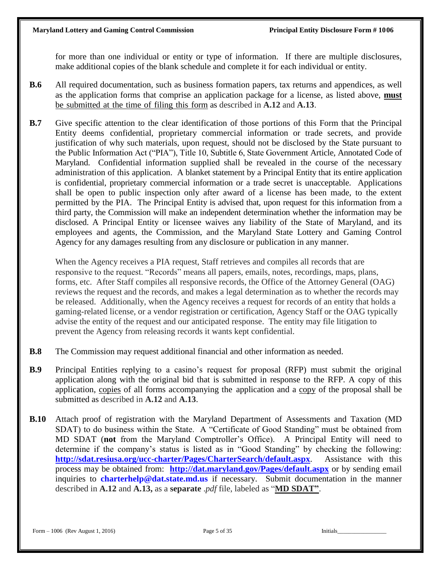for more than one individual or entity or type of information. If there are multiple disclosures, make additional copies of the blank schedule and complete it for each individual or entity.

- **B.6** All required documentation, such as business formation papers, tax returns and appendices, as well as the application forms that comprise an application package for a license, as listed above, **must** be submitted at the time of filing this form as described in **A.12** and **A.13**.
- **B.7** Give specific attention to the clear identification of those portions of this Form that the Principal Entity deems confidential, proprietary commercial information or trade secrets, and provide justification of why such materials, upon request, should not be disclosed by the State pursuant to the Public Information Act ("PIA"), Title 10, Subtitle 6, State Government Article, Annotated Code of Maryland. Confidential information supplied shall be revealed in the course of the necessary administration of this application. A blanket statement by a Principal Entity that its entire application is confidential, proprietary commercial information or a trade secret is unacceptable. Applications shall be open to public inspection only after award of a license has been made, to the extent permitted by the PIA. The Principal Entity is advised that, upon request for this information from a third party, the Commission will make an independent determination whether the information may be disclosed. A Principal Entity or licensee waives any liability of the State of Maryland, and its employees and agents, the Commission, and the Maryland State Lottery and Gaming Control Agency for any damages resulting from any disclosure or publication in any manner.

When the Agency receives a PIA request, Staff retrieves and compiles all records that are responsive to the request. "Records" means all papers, emails, notes, recordings, maps, plans, forms, etc. After Staff compiles all responsive records, the Office of the Attorney General (OAG) reviews the request and the records, and makes a legal determination as to whether the records may be released. Additionally, when the Agency receives a request for records of an entity that holds a gaming-related license, or a vendor registration or certification, Agency Staff or the OAG typically advise the entity of the request and our anticipated response. The entity may file litigation to prevent the Agency from releasing records it wants kept confidential.

- **B.8** The Commission may request additional financial and other information as needed.
- **B.9** Principal Entities replying to a casino's request for proposal (RFP) must submit the original application along with the original bid that is submitted in response to the RFP. A copy of this application, copies of all forms accompanying the application and a copy of the proposal shall be submitted as described in **A.12** and **A.13**.
- **B.10** Attach proof of registration with the Maryland Department of Assessments and Taxation (MD SDAT) to do business within the State. A "Certificate of Good Standing" must be obtained from MD SDAT (**not** from the Maryland Comptroller's Office). A Principal Entity will need to determine if the company's status is listed as in "Good Standing" by checking the following: **<http://sdat.resiusa.org/ucc-charter/Pages/CharterSearch/default.aspx>**. Assistance with this process may be obtained from: **<http://dat.maryland.gov/Pages/default.aspx>** or by sending email inquiries to **[charterhelp@dat.state.md.us](mailto:charterhelp@dat.state.md.us)** if necessary. Submit documentation in the manner described in **A.12** and **A.13,** as a **separate** .*pdf* file, labeled as "**MD SDAT"**.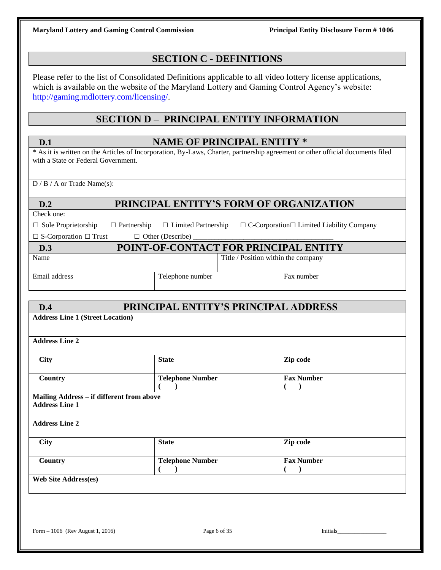# **SECTION C - DEFINITIONS**

Please refer to the list of Consolidated Definitions applicable to all video lottery license applications, which is available on the website of the Maryland Lottery and Gaming Control Agency's website: [http://gaming.mdlottery.com/licensing/.](http://gaming.mdlottery.com/licensing/)

# **SECTION D – PRINCIPAL ENTITY INFORMATION**

| D.1                                                                | <b>NAME OF PRINCIPAL ENTITY *</b>    |                                                                                                                                |
|--------------------------------------------------------------------|--------------------------------------|--------------------------------------------------------------------------------------------------------------------------------|
| with a State or Federal Government.                                |                                      | * As it is written on the Articles of Incorporation, By-Laws, Charter, partnership agreement or other official documents filed |
| $D / B / A$ or Trade Name(s):                                      |                                      |                                                                                                                                |
| D.2                                                                |                                      | PRINCIPAL ENTITY'S FORM OF ORGANIZATION                                                                                        |
| Check one:                                                         |                                      |                                                                                                                                |
| $\Box$ Sole Proprietorship<br>$\Box$ Partnership                   | □ Limited Partnership                | $\Box$ C-Corporation $\Box$ Limited Liability Company                                                                          |
| $\Box$ S-Corporation $\Box$ Trust                                  |                                      |                                                                                                                                |
| D.3                                                                |                                      | POINT-OF-CONTACT FOR PRINCIPAL ENTITY                                                                                          |
| Name                                                               |                                      | Title / Position within the company                                                                                            |
| Email address                                                      | Telephone number                     | Fax number                                                                                                                     |
|                                                                    |                                      |                                                                                                                                |
| D.4                                                                |                                      | PRINCIPAL ENTITY'S PRINCIPAL ADDRESS                                                                                           |
| <b>Address Line 2</b><br><b>City</b>                               | <b>State</b>                         | Zip code                                                                                                                       |
|                                                                    |                                      |                                                                                                                                |
| Country                                                            | <b>Telephone Number</b><br>$\lambda$ | <b>Fax Number</b><br>$\lambda$                                                                                                 |
| Mailing Address - if different from above<br><b>Address Line 1</b> |                                      |                                                                                                                                |
| <b>Address Line 2</b>                                              |                                      |                                                                                                                                |
| <b>City</b>                                                        | <b>State</b>                         | Zip code                                                                                                                       |
| Country                                                            | <b>Telephone Number</b>              | <b>Fax Number</b><br>$\lambda$                                                                                                 |
| <b>Web Site Address(es)</b>                                        |                                      |                                                                                                                                |
|                                                                    |                                      |                                                                                                                                |
|                                                                    |                                      |                                                                                                                                |
|                                                                    |                                      |                                                                                                                                |
| Form - 1006 (Rev August 1, 2016)                                   | Page 6 of 35                         | Initials                                                                                                                       |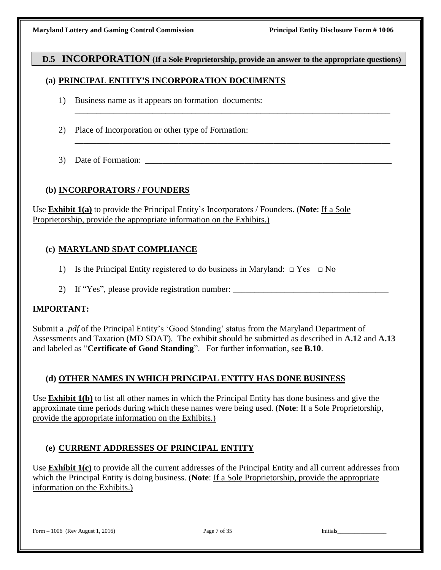### **D.5 INCORPORATION (If a Sole Proprietorship, provide an answer to the appropriate questions)**

\_\_\_\_\_\_\_\_\_\_\_\_\_\_\_\_\_\_\_\_\_\_\_\_\_\_\_\_\_\_\_\_\_\_\_\_\_\_\_\_\_\_\_\_\_\_\_\_\_\_\_\_\_\_\_\_\_\_\_\_\_\_\_\_\_\_\_\_\_\_\_\_\_

\_\_\_\_\_\_\_\_\_\_\_\_\_\_\_\_\_\_\_\_\_\_\_\_\_\_\_\_\_\_\_\_\_\_\_\_\_\_\_\_\_\_\_\_\_\_\_\_\_\_\_\_\_\_\_\_\_\_\_\_\_\_\_\_\_\_\_\_\_\_\_\_\_

### **(a) PRINCIPAL ENTITY'S INCORPORATION DOCUMENTS**

- 1) Business name as it appears on formation documents:
- 2) Place of Incorporation or other type of Formation:
- 3) Date of Formation:

### **(b) INCORPORATORS / FOUNDERS**

Use **Exhibit 1(a)** to provide the Principal Entity's Incorporators / Founders. (**Note**: If a Sole Proprietorship, provide the appropriate information on the Exhibits.)

### **(c) MARYLAND SDAT COMPLIANCE**

- 1) Is the Principal Entity registered to do business in Maryland:  $\Box$  Yes  $\Box$  No
- 2) If "Yes", please provide registration number:

### **IMPORTANT:**

Submit a .*pdf* of the Principal Entity's 'Good Standing' status from the Maryland Department of Assessments and Taxation (MD SDAT). The exhibit should be submitted as described in **A.12** and **A.13** and labeled as "**Certificate of Good Standing**". For further information, see **B.10**.

### **(d) OTHER NAMES IN WHICH PRINCIPAL ENTITY HAS DONE BUSINESS**

Use **Exhibit 1(b)** to list all other names in which the Principal Entity has done business and give the approximate time periods during which these names were being used. (**Note**: If a Sole Proprietorship, provide the appropriate information on the Exhibits.)

### **(e) CURRENT ADDRESSES OF PRINCIPAL ENTITY**

Use **Exhibit 1(c)** to provide all the current addresses of the Principal Entity and all current addresses from which the Principal Entity is doing business. (**Note**: If a Sole Proprietorship, provide the appropriate information on the Exhibits.)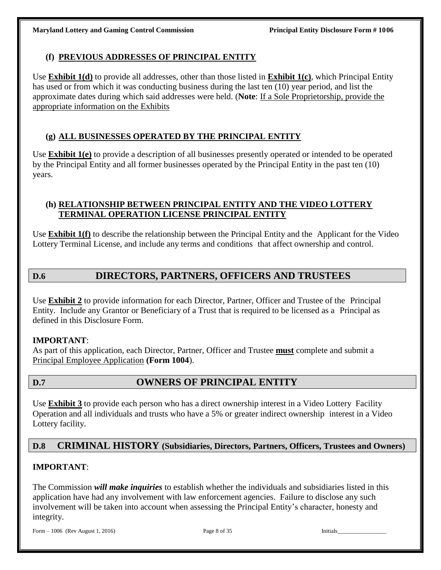### **(f) PREVIOUS ADDRESSES OF PRINCIPAL ENTITY**

Use **Exhibit 1(d)** to provide all addresses, other than those listed in **Exhibit 1(c)**, which Principal Entity has used or from which it was conducting business during the last ten (10) year period, and list the approximate dates during which said addresses were held. (**Note**: If a Sole Proprietorship, provide the appropriate information on the Exhibits

# **(g) ALL BUSINESSES OPERATED BY THE PRINCIPAL ENTITY**

Use **Exhibit 1(e)** to provide a description of all businesses presently operated or intended to be operated by the Principal Entity and all former businesses operated by the Principal Entity in the past ten (10) years.

### **(h) RELATIONSHIP BETWEEN PRINCIPAL ENTITY AND THE VIDEO LOTTERY TERMINAL OPERATION LICENSE PRINCIPAL ENTITY**

Use **Exhibit 1(f)** to describe the relationship between the Principal Entity and the Applicant for the Video Lottery Terminal License, and include any terms and conditions that affect ownership and control.

# **D.6 DIRECTORS, PARTNERS, OFFICERS AND TRUSTEES**

Use **Exhibit 2** to provide information for each Director, Partner, Officer and Trustee of the Principal Entity. Include any Grantor or Beneficiary of a Trust that is required to be licensed as a Principal as defined in this Disclosure Form.

### **IMPORTANT**:

As part of this application, each Director, Partner, Officer and Trustee **must** complete and submit a Principal Employee Application **(Form 1004**).

# **D.7 OWNERS OF PRINCIPAL ENTITY**

Use **Exhibit 3** to provide each person who has a direct ownership interest in a Video Lottery Facility Operation and all individuals and trusts who have a 5% or greater indirect ownership interest in a Video Lottery facility.

### **D.8 CRIMINAL HISTORY (Subsidiaries, Directors, Partners, Officers, Trustees and Owners)**

### **IMPORTANT**:

The Commission *will make inquiries* to establish whether the individuals and subsidiaries listed in this application have had any involvement with law enforcement agencies. Failure to disclose any such involvement will be taken into account when assessing the Principal Entity's character, honesty and integrity.

Form – 1006 (Rev August 1, 2016) Page 8 of 35 Initials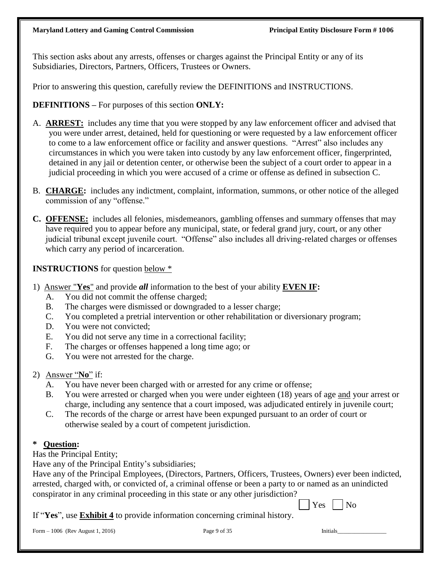This section asks about any arrests, offenses or charges against the Principal Entity or any of its Subsidiaries, Directors, Partners, Officers, Trustees or Owners.

Prior to answering this question, carefully review the DEFINITIONS and INSTRUCTIONS.

**DEFINITIONS –** For purposes of this section **ONLY:**

- A. **ARREST:** includes any time that you were stopped by any law enforcement officer and advised that you were under arrest, detained, held for questioning or were requested by a law enforcement officer to come to a law enforcement office or facility and answer questions. "Arrest" also includes any circumstances in which you were taken into custody by any law enforcement officer, fingerprinted, detained in any jail or detention center, or otherwise been the subject of a court order to appear in a judicial proceeding in which you were accused of a crime or offense as defined in subsection C.
- B. **CHARGE:** includes any indictment, complaint, information, summons, or other notice of the alleged commission of any "offense."
- **C. OFFENSE:** includes all felonies, misdemeanors, gambling offenses and summary offenses that may have required you to appear before any municipal, state, or federal grand jury, court, or any other judicial tribunal except juvenile court. "Offense" also includes all driving-related charges or offenses which carry any period of incarceration.

### **INSTRUCTIONS** for question below \*

- 1) Answer "**Yes**" and provide *all* information to the best of your ability **EVEN IF:**
	- A. You did not commit the offense charged;
	- B. The charges were dismissed or downgraded to a lesser charge;
	- C. You completed a pretrial intervention or other rehabilitation or diversionary program;
	- D. You were not convicted;
	- E. You did not serve any time in a correctional facility;
	- F. The charges or offenses happened a long time ago; or
	- G. You were not arrested for the charge.
- 2) Answer "**No**" if:
	- A. You have never been charged with or arrested for any crime or offense;
	- B. You were arrested or charged when you were under eighteen (18) years of age and your arrest or charge, including any sentence that a court imposed, was adjudicated entirely in juvenile court;
	- C. The records of the charge or arrest have been expunged pursuant to an order of court or otherwise sealed by a court of competent jurisdiction.

### **\* Question:**

Has the Principal Entity;

Have any of the Principal Entity's subsidiaries;

| Have any of the Principal Employees, (Directors, Partners, Officers, Trustees, Owners) ever been indicted, |
|------------------------------------------------------------------------------------------------------------|
| arrested, charged with, or convicted of, a criminal offense or been a party to or named as an unindicted   |
| conspirator in any criminal proceeding in this state or any other jurisdiction?                            |

 $\Box$  Yes  $\Box$  No If "**Yes**", use **Exhibit 4** to provide information concerning criminal history.

Form – 1006 (Rev August 1, 2016) Page 9 of 35 Initials

| Page 9 of 35 |  |  |
|--------------|--|--|
|              |  |  |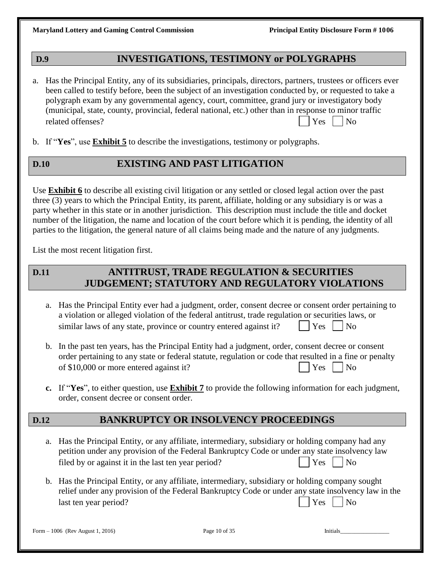## **D.9 INVESTIGATIONS, TESTIMONY or POLYGRAPHS**

- a. Has the Principal Entity, any of its subsidiaries, principals, directors, partners, trustees or officers ever been called to testify before, been the subject of an investigation conducted by, or requested to take a polygraph exam by any governmental agency, court, committee, grand jury or investigatory body (municipal, state, county, provincial, federal national, etc.) other than in response to minor traffic related offenses?  $| \cdot |$   $\gamma$ <sub>es</sub>  $| \cdot |$   $\gamma$ <sub>es</sub>  $| \cdot |$   $\gamma$ <sub>es</sub>  $| \cdot |$   $\gamma$ <sub>0</sub>
- b. If "**Yes**", use **Exhibit 5** to describe the investigations, testimony or polygraphs.

# **D.10 EXISTING AND PAST LITIGATION**

Use **Exhibit 6** to describe all existing civil litigation or any settled or closed legal action over the past three (3) years to which the Principal Entity, its parent, affiliate, holding or any subsidiary is or was a party whether in this state or in another jurisdiction. This description must include the title and docket number of the litigation, the name and location of the court before which it is pending, the identity of all parties to the litigation, the general nature of all claims being made and the nature of any judgments.

List the most recent litigation first.

# **D.11 ANTITRUST, TRADE REGULATION & SECURITIES JUDGEMENT; STATUTORY AND REGULATORY VIOLATIONS**

- a. Has the Principal Entity ever had a judgment, order, consent decree or consent order pertaining to a violation or alleged violation of the federal antitrust, trade regulation or securities laws, or similar laws of any state, province or country entered against it?  $|\gamma_{\text{res}}|$  | No
- b. In the past ten years, has the Principal Entity had a judgment, order, consent decree or consent order pertaining to any state or federal statute, regulation or code that resulted in a fine or penalty of \$10,000 or more entered against it?  $|$  Yes  $|$  No
- **c.** If "**Yes**", to either question, use **Exhibit 7** to provide the following information for each judgment, order, consent decree or consent order.

# **D.12 BANKRUPTCY OR INSOLVENCY PROCEEDINGS**

- a. Has the Principal Entity, or any affiliate, intermediary, subsidiary or holding company had any petition under any provision of the Federal Bankruptcy Code or under any state insolvency law filed by or against it in the last ten year period?  $|$   $|$   $\gamma$ es  $|$   $|$  No
- b. Has the Principal Entity, or any affiliate, intermediary, subsidiary or holding company sought relief under any provision of the Federal Bankruptcy Code or under any state insolvency law in the last ten year period? Yes No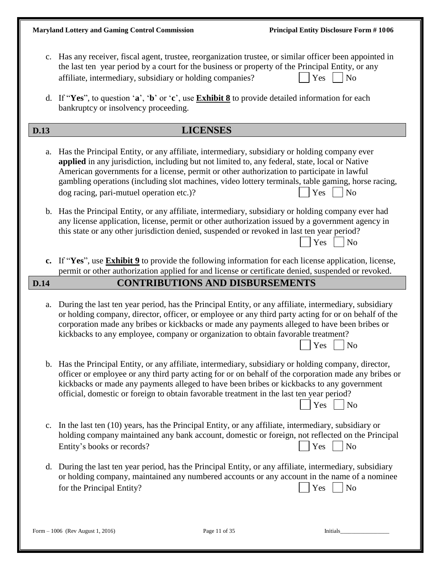|                            | the last ten year period by a court for the business or property of the Principal Entity, or any<br>affiliate, intermediary, subsidiary or holding companies?                                                                                                                                                                            |                                        | c. Has any receiver, fiscal agent, trustee, reorganization trustee, or similar officer been appointed in<br>Yes<br>N <sub>o</sub>                                                                                                                                                                                                      |
|----------------------------|------------------------------------------------------------------------------------------------------------------------------------------------------------------------------------------------------------------------------------------------------------------------------------------------------------------------------------------|----------------------------------------|----------------------------------------------------------------------------------------------------------------------------------------------------------------------------------------------------------------------------------------------------------------------------------------------------------------------------------------|
|                            | d. If "Yes", to question 'a', 'b' or 'c', use <b>Exhibit 8</b> to provide detailed information for each<br>bankruptcy or insolvency proceeding.                                                                                                                                                                                          |                                        |                                                                                                                                                                                                                                                                                                                                        |
| <b>D.13</b>                |                                                                                                                                                                                                                                                                                                                                          | <b>LICENSES</b>                        |                                                                                                                                                                                                                                                                                                                                        |
| a.                         | Has the Principal Entity, or any affiliate, intermediary, subsidiary or holding company ever<br>applied in any jurisdiction, including but not limited to, any federal, state, local or Native<br>American governments for a license, permit or other authorization to participate in lawful<br>dog racing, pari-mutuel operation etc.)? |                                        | gambling operations (including slot machines, video lottery terminals, table gaming, horse racing,<br>Yes<br>N <sub>o</sub>                                                                                                                                                                                                            |
| $\mathbf{b}$ .             | this state or any other jurisdiction denied, suspended or revoked in last ten year period?                                                                                                                                                                                                                                               |                                        | Has the Principal Entity, or any affiliate, intermediary, subsidiary or holding company ever had<br>any license application, license, permit or other authorization issued by a government agency in<br>Yes<br>N <sub>o</sub>                                                                                                          |
| c.                         |                                                                                                                                                                                                                                                                                                                                          |                                        | If "Yes", use <b>Exhibit 9</b> to provide the following information for each license application, license,<br>permit or other authorization applied for and license or certificate denied, suspended or revoked.                                                                                                                       |
| $\overline{\mathbf{D.14}}$ |                                                                                                                                                                                                                                                                                                                                          | <b>CONTRIBUTIONS AND DISBURSEMENTS</b> |                                                                                                                                                                                                                                                                                                                                        |
| a.                         | kickbacks to any employee, company or organization to obtain favorable treatment?                                                                                                                                                                                                                                                        |                                        | During the last ten year period, has the Principal Entity, or any affiliate, intermediary, subsidiary<br>or holding company, director, officer, or employee or any third party acting for or on behalf of the<br>corporation made any bribes or kickbacks or made any payments alleged to have been bribes or<br>N <sub>o</sub><br>Yes |
|                            | official, domestic or foreign to obtain favorable treatment in the last ten year period?                                                                                                                                                                                                                                                 |                                        | b. Has the Principal Entity, or any affiliate, intermediary, subsidiary or holding company, director,<br>officer or employee or any third party acting for or on behalf of the corporation made any bribes or<br>kickbacks or made any payments alleged to have been bribes or kickbacks to any government<br>Yes<br>N <sub>o</sub>    |
|                            | c. In the last ten (10) years, has the Principal Entity, or any affiliate, intermediary, subsidiary or<br>Entity's books or records?                                                                                                                                                                                                     |                                        | holding company maintained any bank account, domestic or foreign, not reflected on the Principal<br>Yes<br>N <sub>o</sub>                                                                                                                                                                                                              |
|                            | for the Principal Entity?                                                                                                                                                                                                                                                                                                                |                                        | d. During the last ten year period, has the Principal Entity, or any affiliate, intermediary, subsidiary<br>or holding company, maintained any numbered accounts or any account in the name of a nominee<br>Yes<br>N <sub>o</sub>                                                                                                      |
|                            | Form - 1006 (Rev August 1, 2016)                                                                                                                                                                                                                                                                                                         | Page 11 of 35                          | Initials                                                                                                                                                                                                                                                                                                                               |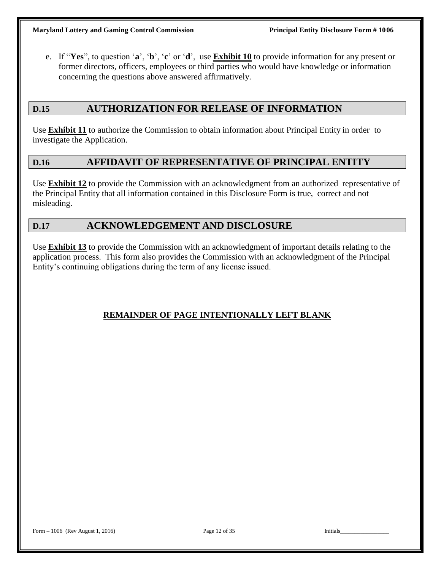e. If "**Yes**", to question '**a**', '**b**', '**c**' or '**d**', use **Exhibit 10** to provide information for any present or former directors, officers, employees or third parties who would have knowledge or information concerning the questions above answered affirmatively.

# **D.15 AUTHORIZATION FOR RELEASE OF INFORMATION**

Use **Exhibit 11** to authorize the Commission to obtain information about Principal Entity in order to investigate the Application.

### **D.16 AFFIDAVIT OF REPRESENTATIVE OF PRINCIPAL ENTITY**

Use **Exhibit 12** to provide the Commission with an acknowledgment from an authorized representative of the Principal Entity that all information contained in this Disclosure Form is true, correct and not misleading.

### **D.17 ACKNOWLEDGEMENT AND DISCLOSURE**

Use **Exhibit 13** to provide the Commission with an acknowledgment of important details relating to the application process. This form also provides the Commission with an acknowledgment of the Principal Entity's continuing obligations during the term of any license issued.

### **REMAINDER OF PAGE INTENTIONALLY LEFT BLANK**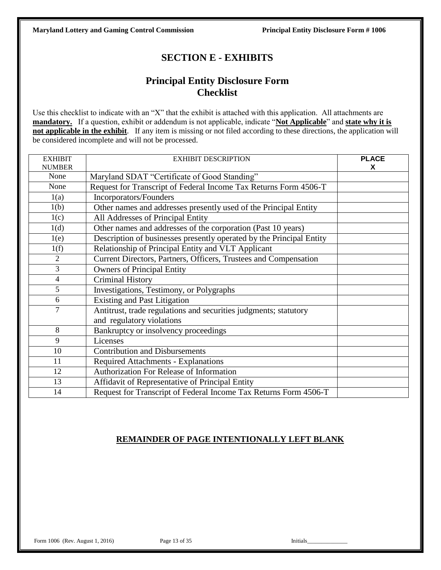# **SECTION E - EXHIBITS**

# **Principal Entity Disclosure Form Checklist**

Use this checklist to indicate with an "X" that the exhibit is attached with this application. All attachments are **mandatory.** If a question, exhibit or addendum is not applicable, indicate "**Not Applicable**" and **state why it is not applicable in the exhibit**. If any item is missing or not filed according to these directions, the application will be considered incomplete and will not be processed.

| <b>EXHIBIT</b> | <b>EXHIBIT DESCRIPTION</b>                                           | <b>PLACE</b> |
|----------------|----------------------------------------------------------------------|--------------|
| <b>NUMBER</b>  |                                                                      | X            |
| None           | Maryland SDAT "Certificate of Good Standing"                         |              |
| None           | Request for Transcript of Federal Income Tax Returns Form 4506-T     |              |
| 1(a)           | Incorporators/Founders                                               |              |
| 1(b)           | Other names and addresses presently used of the Principal Entity     |              |
| 1(c)           | All Addresses of Principal Entity                                    |              |
| 1(d)           | Other names and addresses of the corporation (Past 10 years)         |              |
| 1(e)           | Description of businesses presently operated by the Principal Entity |              |
| 1(f)           | Relationship of Principal Entity and VLT Applicant                   |              |
| $\overline{2}$ | Current Directors, Partners, Officers, Trustees and Compensation     |              |
| $\overline{3}$ | <b>Owners of Principal Entity</b>                                    |              |
| $\overline{4}$ | <b>Criminal History</b>                                              |              |
| 5              | Investigations, Testimony, or Polygraphs                             |              |
| 6              | <b>Existing and Past Litigation</b>                                  |              |
| $\overline{7}$ | Antitrust, trade regulations and securities judgments; statutory     |              |
|                | and regulatory violations                                            |              |
| 8              | Bankruptcy or insolvency proceedings                                 |              |
| 9              | Licenses                                                             |              |
| 10             | <b>Contribution and Disbursements</b>                                |              |
| 11             | <b>Required Attachments - Explanations</b>                           |              |
| 12             | Authorization For Release of Information                             |              |
| 13             | Affidavit of Representative of Principal Entity                      |              |
| 14             | Request for Transcript of Federal Income Tax Returns Form 4506-T     |              |

### **REMAINDER OF PAGE INTENTIONALLY LEFT BLANK**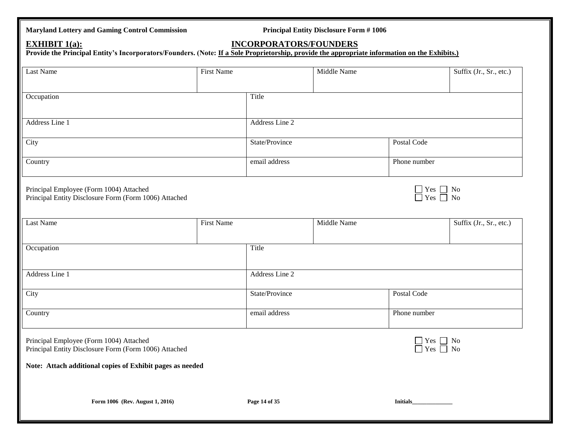# **Maryland Lottery and Gaming Control Commission Principal Entity Disclosure Form # 1006 Form 1006 (Rev. August 1, 2016) Page 14 of 35 Initials\_\_\_\_\_\_\_\_\_\_\_\_\_\_\_\_\_\_\_\_\_\_\_\_\_ EXHIBIT 1(a): INCORPORATORS/FOUNDERS Provide the Principal Entity's Incorporators/Founders. (Note: If a Sole Proprietorship, provide the appropriate information on the Exhibits.)** Last Name Suffix (Jr., Sr., etc.) First Name Middle Name Suffix (Jr., Sr., etc.) Occupation Title Address Line 1 and 1 and 1 and 1 and 1 and 1 and 1 and 1 and 1 and 1 and 1 and 1 and 1 and 1 and 1 and 1 and 1 and 1 and 1 and 1 and 1 and 1 and 1 and 1 and 1 and 1 and 1 and 1 and 1 and 1 and 1 and 1 and 1 and 1 and 1 and City **State/Province** Postal Code Country **Phone number** Phone number Principal Employee (Form 1004) Attached  $\Box$  Yes  $\Box$  No Principal Entity Disclosure Form (Form 1006) Attached  $\Box$  Yes  $\Box$  No  $\Box$  Yes  $\Box$  No  $\Box$  Yes  $\Box$  No  $\Box$  Yes  $\Box$  No  $\Box$  Yes  $\Box$  No  $\Box$  Yes  $\Box$  No  $\Box$  Yes Principal Entity Disclosure Form (Form 1006) Attached Last Name Suffix (Jr., Sr., etc.) First Name Middle Name Suffix (Jr., Sr., etc.) Occupation Title Address Line 1 and 1 Address Line 2 City **State/Province** Postal Code Country **Phone number** Phone number Principal Employee (Form 1004) Attached  $\Box$  Yes  $\Box$  No Principal Entity Disclosure Form (Form 1006) Attached  $\Box$  Yes  $\Box$  No  $\Box$  Yes  $\Box$  No  $\Box$  Yes  $\Box$  No  $\Box$  Yes  $\Box$  No  $\Box$  Yes  $\Box$  No  $\Box$  Yes  $\Box$  No  $\Box$  Yes Principal Entity Disclosure Form (Form 1006) Attached **Note: Attach additional copies of Exhibit pages as needed**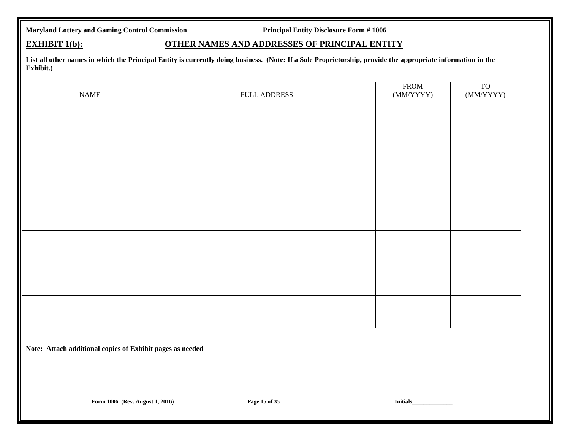### **EXHIBIT 1(b): OTHER NAMES AND ADDRESSES OF PRINCIPAL ENTITY**

**List all other names in which the Principal Entity is currently doing business. (Note: If a Sole Proprietorship, provide the appropriate information in the Exhibit.)**

| $\ensuremath{\mathsf{NAME}}$ | FULL ADDRESS | <b>FROM</b><br>(MM/YYYY) | $\frac{TO}{(MM/YYYY)}$ |
|------------------------------|--------------|--------------------------|------------------------|
|                              |              |                          |                        |
|                              |              |                          |                        |
|                              |              |                          |                        |
|                              |              |                          |                        |
|                              |              |                          |                        |
|                              |              |                          |                        |
|                              |              |                          |                        |
|                              |              |                          |                        |
|                              |              |                          |                        |
|                              |              |                          |                        |
|                              |              |                          |                        |
|                              |              |                          |                        |
|                              |              |                          |                        |
|                              |              |                          |                        |

**Note: Attach additional copies of Exhibit pages as needed**

**Form 1006 (Rev. August 1, 2016) Page 15 of 35 Initials Limitals Limitals Limitals Limitals Limitals Limitals Limitals Limitals Limitals Limitals Limitals Limitals Limitals Limitals Limitals Limitals Limitals Limitals Limi**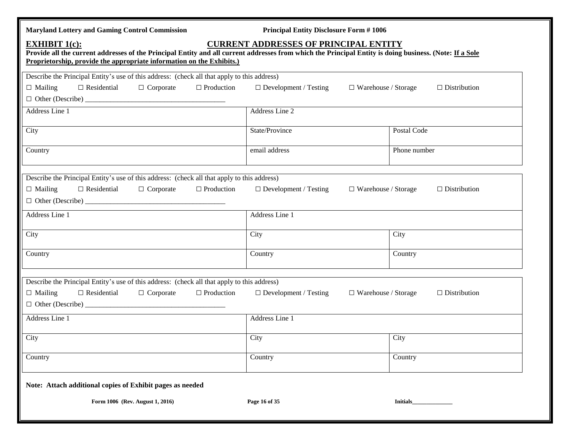| <b>Maryland Lottery and Gaming Control Commission</b>                                                                                                                                                                                                                                                    | <b>Principal Entity Disclosure Form #1006</b>              |                     |  |  |  |
|----------------------------------------------------------------------------------------------------------------------------------------------------------------------------------------------------------------------------------------------------------------------------------------------------------|------------------------------------------------------------|---------------------|--|--|--|
| <b>CURRENT ADDRESSES OF PRINCIPAL ENTITY</b><br><b>EXHIBIT 1(c):</b><br>Provide all the current addresses of the Principal Entity and all current addresses from which the Principal Entity is doing business. (Note: If a Sole<br>Proprietorship, provide the appropriate information on the Exhibits.) |                                                            |                     |  |  |  |
| Describe the Principal Entity's use of this address: (check all that apply to this address)                                                                                                                                                                                                              |                                                            |                     |  |  |  |
| $\Box$ Residential<br>$\Box$ Production<br>$\Box$ Mailing<br>$\Box$ Corporate                                                                                                                                                                                                                            | $\Box$ Development / Testing<br>$\Box$ Warehouse / Storage | $\Box$ Distribution |  |  |  |
|                                                                                                                                                                                                                                                                                                          |                                                            |                     |  |  |  |
| Address Line 1                                                                                                                                                                                                                                                                                           | Address Line 2                                             |                     |  |  |  |
| City                                                                                                                                                                                                                                                                                                     | State/Province                                             | Postal Code         |  |  |  |
| Country                                                                                                                                                                                                                                                                                                  | email address                                              | Phone number        |  |  |  |
| Describe the Principal Entity's use of this address: (check all that apply to this address)<br>$\Box$ Production<br>$\Box$ Mailing<br>$\Box$ Residential<br>$\Box$ Corporate                                                                                                                             | $\Box$ Development / Testing<br>$\Box$ Warehouse / Storage | $\Box$ Distribution |  |  |  |
| Address Line 1                                                                                                                                                                                                                                                                                           | Address Line 1                                             |                     |  |  |  |
| City                                                                                                                                                                                                                                                                                                     | City                                                       | City                |  |  |  |
| Country                                                                                                                                                                                                                                                                                                  | Country                                                    | Country             |  |  |  |
| Describe the Principal Entity's use of this address: (check all that apply to this address)<br>$\Box$ Production<br>$\Box$ Mailing<br>$\Box$ Residential<br>$\Box$ Corporate                                                                                                                             | $\Box$ Development / Testing<br>$\Box$ Warehouse / Storage | $\Box$ Distribution |  |  |  |
| Address Line 1                                                                                                                                                                                                                                                                                           | Address Line 1                                             |                     |  |  |  |
| City                                                                                                                                                                                                                                                                                                     | City                                                       | City                |  |  |  |
| Country                                                                                                                                                                                                                                                                                                  | Country                                                    | Country             |  |  |  |
| Note: Attach additional copies of Exhibit pages as needed                                                                                                                                                                                                                                                |                                                            |                     |  |  |  |
| Form 1006 (Rev. August 1, 2016)                                                                                                                                                                                                                                                                          | Page 16 of 35                                              | <b>Initials</b>     |  |  |  |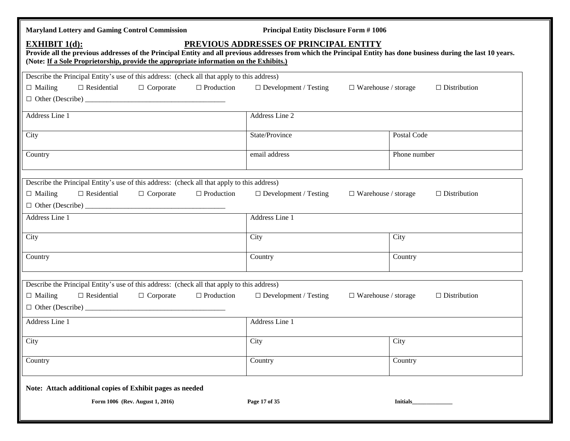| <b>Maryland Lottery and Gaming Control Commission</b>                                                                                                                                                                                                                               | <b>Principal Entity Disclosure Form #1006</b>              |                     |
|-------------------------------------------------------------------------------------------------------------------------------------------------------------------------------------------------------------------------------------------------------------------------------------|------------------------------------------------------------|---------------------|
| <b>EXHIBIT 1(d):</b><br>Provide all the previous addresses of the Principal Entity and all previous addresses from which the Principal Entity has done business during the last 10 years.<br>(Note: If a Sole Proprietorship, provide the appropriate information on the Exhibits.) | PREVIOUS ADDRESSES OF PRINCIPAL ENTITY                     |                     |
| Describe the Principal Entity's use of this address: (check all that apply to this address)                                                                                                                                                                                         |                                                            |                     |
| $\Box$ Residential<br>$\Box$ Production<br>$\Box$ Mailing<br>$\Box$ Corporate                                                                                                                                                                                                       | $\Box$ Development / Testing<br>$\Box$ Warehouse / storage | $\Box$ Distribution |
|                                                                                                                                                                                                                                                                                     |                                                            |                     |
| Address Line 1                                                                                                                                                                                                                                                                      | Address Line 2                                             |                     |
| City                                                                                                                                                                                                                                                                                | State/Province                                             | Postal Code         |
| Country                                                                                                                                                                                                                                                                             | email address                                              | Phone number        |
| Describe the Principal Entity's use of this address: (check all that apply to this address)                                                                                                                                                                                         |                                                            |                     |
| $\Box$ Residential<br>$\Box$ Corporate<br>$\Box$ Production<br>$\Box$ Mailing                                                                                                                                                                                                       | $\Box$ Development / Testing<br>$\Box$ Warehouse / storage | $\Box$ Distribution |
|                                                                                                                                                                                                                                                                                     |                                                            |                     |
| Address Line 1                                                                                                                                                                                                                                                                      | Address Line 1                                             |                     |
| City                                                                                                                                                                                                                                                                                | City                                                       | City                |
| Country                                                                                                                                                                                                                                                                             | Country                                                    | Country             |
| Describe the Principal Entity's use of this address: (check all that apply to this address)                                                                                                                                                                                         |                                                            |                     |
| $\Box$ Production<br>$\Box$ Residential<br>$\Box$ Corporate<br>$\Box$ Mailing                                                                                                                                                                                                       | $\Box$ Development / Testing<br>$\Box$ Warehouse / storage | $\Box$ Distribution |
| Address Line 1                                                                                                                                                                                                                                                                      | Address Line 1                                             |                     |
| City                                                                                                                                                                                                                                                                                | City                                                       | City                |
| Country                                                                                                                                                                                                                                                                             | Country                                                    | Country             |
| Note: Attach additional copies of Exhibit pages as needed                                                                                                                                                                                                                           |                                                            |                     |
| Form 1006 (Rev. August 1, 2016)                                                                                                                                                                                                                                                     | Page 17 of 35                                              | <b>Initials</b>     |
|                                                                                                                                                                                                                                                                                     |                                                            |                     |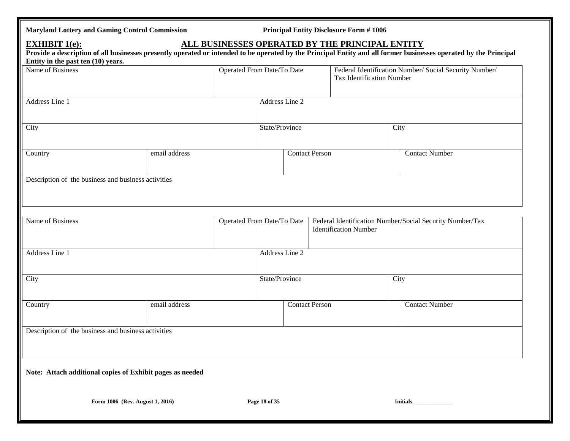| <b>Maryland Lottery and Gaming Control Commission</b> |  |  |
|-------------------------------------------------------|--|--|
|                                                       |  |  |

**Principal Entity Disclosure Form # 1006** 

## **EXHIBIT 1(e): ALL BUSINESSES OPERATED BY THE PRINCIPAL ENTITY**

| Entity in the past ten (10) years.<br>Name of Business |                                                           | Operated From Date/To Date |                              | Federal Identification Number/ Social Security Number/<br><b>Tax Identification Number</b> |
|--------------------------------------------------------|-----------------------------------------------------------|----------------------------|------------------------------|--------------------------------------------------------------------------------------------|
| Address Line 1                                         |                                                           | Address Line 2             |                              |                                                                                            |
| City                                                   |                                                           | State/Province             |                              | City                                                                                       |
| Country                                                | email address                                             |                            | <b>Contact Person</b>        | <b>Contact Number</b>                                                                      |
| Description of the business and business activities    |                                                           |                            |                              |                                                                                            |
| Name of Business                                       |                                                           | Operated From Date/To Date | <b>Identification Number</b> | Federal Identification Number/Social Security Number/Tax                                   |
| Address Line 1                                         |                                                           | Address Line 2             |                              |                                                                                            |
| City                                                   |                                                           | State/Province             |                              | City                                                                                       |
| Country                                                | email address                                             |                            | <b>Contact Person</b>        | <b>Contact Number</b>                                                                      |
| Description of the business and business activities    |                                                           |                            |                              |                                                                                            |
|                                                        | Note: Attach additional copies of Exhibit pages as needed |                            |                              |                                                                                            |
|                                                        |                                                           |                            |                              |                                                                                            |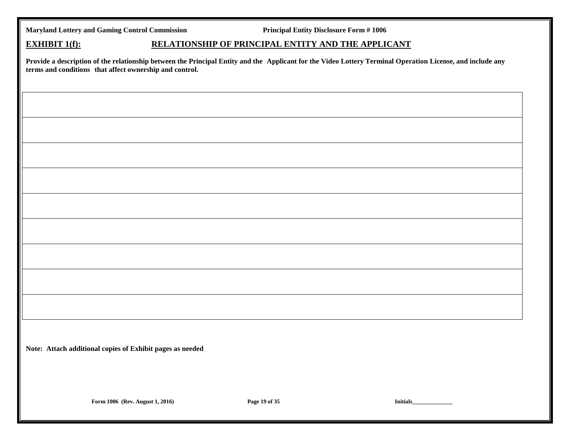**EXHIBIT 1(f): RELATIONSHIP OF PRINCIPAL ENTITY AND THE APPLICANT** 

Provide a description of the relationship between the Principal Entity and the Applicant for the Video Lottery Terminal Operation License, and include any **terms and conditions that affect ownership and control.**

**Note: Attach additional copies of Exhibit pages as needed**

**Form 1006 (Rev. August 1, 2016) Page 19 of 35 Initials\_\_\_\_\_\_\_\_\_\_\_\_\_\_\_\_\_\_\_\_\_\_\_\_\_\_**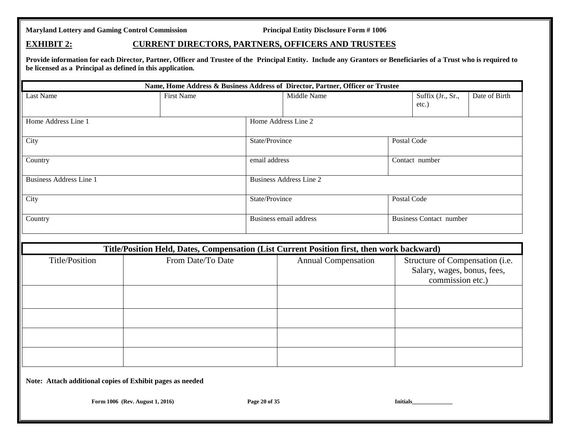### **EXHIBIT 2: CURRENT DIRECTORS, PARTNERS, OFFICERS AND TRUSTEES**

Provide information for each Director, Partner, Officer and Trustee of the Principal Entity. Include any Grantors or Beneficiaries of a Trust who is required to **be licensed as a Principal as defined in this application.**

|                                                           |                   |                                                                                                                                                                                                                | Name, Home Address & Business Address of Director, Partner, Officer or Trustee |                 |                                |               |
|-----------------------------------------------------------|-------------------|----------------------------------------------------------------------------------------------------------------------------------------------------------------------------------------------------------------|--------------------------------------------------------------------------------|-----------------|--------------------------------|---------------|
| Last Name                                                 | <b>First Name</b> |                                                                                                                                                                                                                | Middle Name                                                                    |                 | Suffix (Jr., Sr.,<br>etc.)     | Date of Birth |
| Home Address Line 1                                       |                   |                                                                                                                                                                                                                | Home Address Line 2                                                            |                 |                                |               |
| City                                                      |                   | State/Province                                                                                                                                                                                                 |                                                                                | Postal Code     |                                |               |
| Country                                                   |                   | email address                                                                                                                                                                                                  |                                                                                |                 | Contact number                 |               |
| <b>Business Address Line 1</b>                            |                   |                                                                                                                                                                                                                | <b>Business Address Line 2</b>                                                 |                 |                                |               |
| City                                                      |                   | State/Province                                                                                                                                                                                                 |                                                                                | Postal Code     |                                |               |
| Country                                                   |                   | Business email address                                                                                                                                                                                         |                                                                                |                 | <b>Business Contact number</b> |               |
|                                                           |                   |                                                                                                                                                                                                                |                                                                                |                 |                                |               |
| <b>Title/Position</b>                                     | From Date/To Date | Title/Position Held, Dates, Compensation (List Current Position first, then work backward)<br><b>Annual Compensation</b><br>Structure of Compensation (i.e.<br>Salary, wages, bonus, fees,<br>commission etc.) |                                                                                |                 |                                |               |
|                                                           |                   |                                                                                                                                                                                                                |                                                                                |                 |                                |               |
|                                                           |                   |                                                                                                                                                                                                                |                                                                                |                 |                                |               |
|                                                           |                   |                                                                                                                                                                                                                |                                                                                |                 |                                |               |
|                                                           |                   |                                                                                                                                                                                                                |                                                                                |                 |                                |               |
| Note: Attach additional copies of Exhibit pages as needed |                   |                                                                                                                                                                                                                |                                                                                |                 |                                |               |
| Form 1006 (Rev. August 1, 2016)                           |                   | Page 20 of 35                                                                                                                                                                                                  |                                                                                | <b>Initials</b> |                                |               |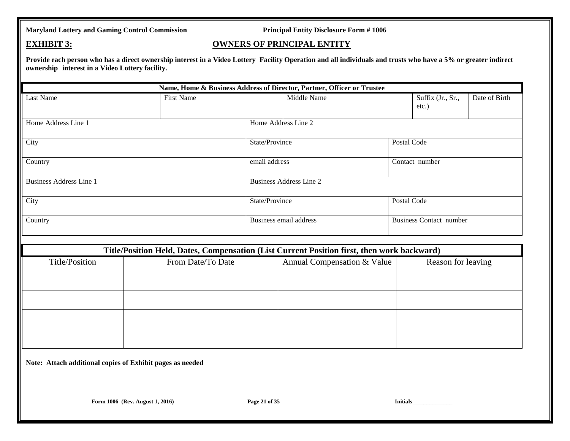### **EXHIBIT 3: OWNERS OF PRINCIPAL ENTITY**

Provide each person who has a direct ownership interest in a Video Lottery Facility Operation and all individuals and trusts who have a 5% or greater indirect **ownership interest in a Video Lottery facility.**

|                                                           |                                                                                            |                | Name, Home & Business Address of Director, Partner, Officer or Trustee |                 |                                |               |
|-----------------------------------------------------------|--------------------------------------------------------------------------------------------|----------------|------------------------------------------------------------------------|-----------------|--------------------------------|---------------|
| Last Name                                                 | <b>First Name</b>                                                                          |                | Middle Name                                                            |                 | Suffix (Jr., Sr.,<br>etc.)     | Date of Birth |
| Home Address Line 1                                       |                                                                                            |                | Home Address Line 2                                                    |                 |                                |               |
| City                                                      |                                                                                            | State/Province |                                                                        | Postal Code     |                                |               |
| Country                                                   |                                                                                            | email address  |                                                                        |                 | Contact number                 |               |
| <b>Business Address Line 1</b>                            |                                                                                            |                | <b>Business Address Line 2</b>                                         |                 |                                |               |
| City                                                      |                                                                                            | State/Province |                                                                        | Postal Code     |                                |               |
| Country                                                   |                                                                                            |                | Business email address                                                 |                 | <b>Business Contact number</b> |               |
|                                                           | Title/Position Held, Dates, Compensation (List Current Position first, then work backward) |                |                                                                        |                 |                                |               |
| Title/Position                                            | From Date/To Date                                                                          |                | Annual Compensation & Value                                            |                 | Reason for leaving             |               |
|                                                           |                                                                                            |                |                                                                        |                 |                                |               |
|                                                           |                                                                                            |                |                                                                        |                 |                                |               |
|                                                           |                                                                                            |                |                                                                        |                 |                                |               |
|                                                           |                                                                                            |                |                                                                        |                 |                                |               |
| Note: Attach additional copies of Exhibit pages as needed |                                                                                            |                |                                                                        |                 |                                |               |
|                                                           | Form 1006 (Rev. August 1, 2016)                                                            | Page 21 of 35  |                                                                        | <b>Initials</b> |                                |               |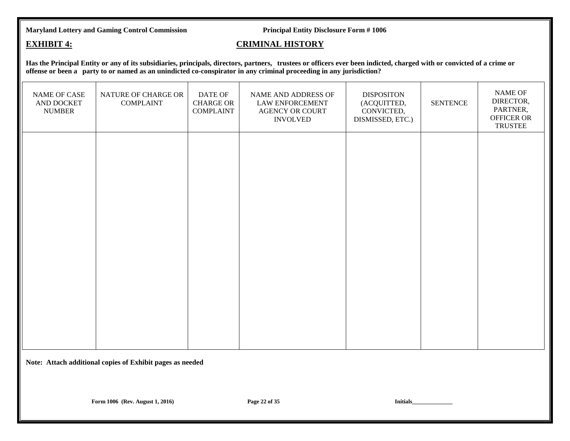### **EXHIBIT 4: CRIMINAL HISTORY**

Has the Principal Entity or any of its subsidiaries, principals, directors, partners, trustees or officers ever been indicted, charged with or convicted of a crime or **offense or been a party to or named as an unindicted co-conspirator in any criminal proceeding in any jurisdiction?**

| NATURE OF CHARGE OR<br><b>COMPLAINT</b>                   | DATE OF<br><b>CHARGE OR</b><br><b>COMPLAINT</b> | NAME AND ADDRESS OF<br><b>LAW ENFORCEMENT</b><br><b>AGENCY OR COURT</b><br><b>INVOLVED</b> | <b>DISPOSITON</b><br>(ACQUITTED,<br>CONVICTED,<br>DISMISSED, ETC.) | <b>SENTENCE</b> | NAME OF<br>DIRECTOR,<br>PARTNER,<br>OFFICER OR<br><b>TRUSTEE</b> |  |
|-----------------------------------------------------------|-------------------------------------------------|--------------------------------------------------------------------------------------------|--------------------------------------------------------------------|-----------------|------------------------------------------------------------------|--|
|                                                           |                                                 |                                                                                            |                                                                    |                 |                                                                  |  |
|                                                           |                                                 |                                                                                            |                                                                    |                 |                                                                  |  |
|                                                           |                                                 |                                                                                            |                                                                    |                 |                                                                  |  |
|                                                           |                                                 |                                                                                            |                                                                    |                 |                                                                  |  |
| Note: Attach additional copies of Exhibit pages as needed |                                                 |                                                                                            |                                                                    |                 |                                                                  |  |
|                                                           |                                                 |                                                                                            |                                                                    |                 |                                                                  |  |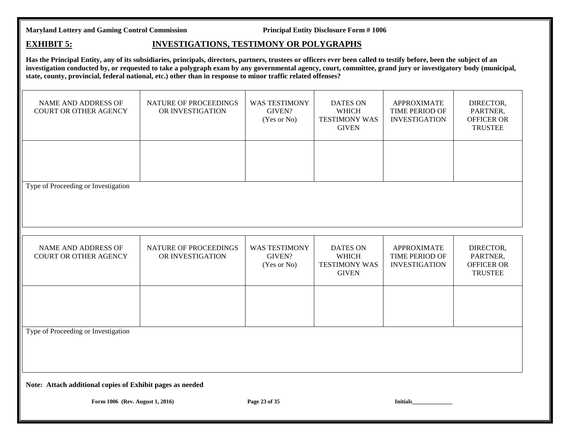### **EXHIBIT 5: INVESTIGATIONS, TESTIMONY OR POLYGRAPHS**

**Has the Principal Entity, any of its subsidiaries, principals, directors, partners, trustees or officers ever been called to testify before, been the subject of an investigation conducted by, or requested to take a polygraph exam by any governmental agency, court, committee, grand jury or investigatory body (municipal, state, county, provincial, federal national, etc.) other than in response to minor traffic related offenses?**

| NAME AND ADDRESS OF<br><b>COURT OR OTHER AGENCY</b>                                                                              | NATURE OF PROCEEDINGS<br>OR INVESTIGATION | <b>WAS TESTIMONY</b><br>GIVEN?<br>(Yes or No) | <b>DATES ON</b><br><b>WHICH</b><br><b>TESTIMONY WAS</b><br><b>GIVEN</b> | <b>APPROXIMATE</b><br>TIME PERIOD OF<br><b>INVESTIGATION</b> | DIRECTOR,<br>PARTNER,<br><b>OFFICER OR</b><br><b>TRUSTEE</b> |
|----------------------------------------------------------------------------------------------------------------------------------|-------------------------------------------|-----------------------------------------------|-------------------------------------------------------------------------|--------------------------------------------------------------|--------------------------------------------------------------|
|                                                                                                                                  |                                           |                                               |                                                                         |                                                              |                                                              |
| Type of Proceeding or Investigation                                                                                              |                                           |                                               |                                                                         |                                                              |                                                              |
| NAME AND ADDRESS OF<br><b>COURT OR OTHER AGENCY</b>                                                                              | NATURE OF PROCEEDINGS<br>OR INVESTIGATION | <b>WAS TESTIMONY</b><br>GIVEN?<br>(Yes or No) | <b>DATES ON</b><br><b>WHICH</b><br><b>TESTIMONY WAS</b><br><b>GIVEN</b> | <b>APPROXIMATE</b><br>TIME PERIOD OF<br><b>INVESTIGATION</b> | DIRECTOR,<br>PARTNER,<br>OFFICER OR<br><b>TRUSTEE</b>        |
|                                                                                                                                  |                                           |                                               |                                                                         |                                                              |                                                              |
| Type of Proceeding or Investigation                                                                                              |                                           |                                               |                                                                         |                                                              |                                                              |
| Note: Attach additional copies of Exhibit pages as needed<br>Form 1006 (Rev. August 1, 2016)<br>Page 23 of 35<br><b>Initials</b> |                                           |                                               |                                                                         |                                                              |                                                              |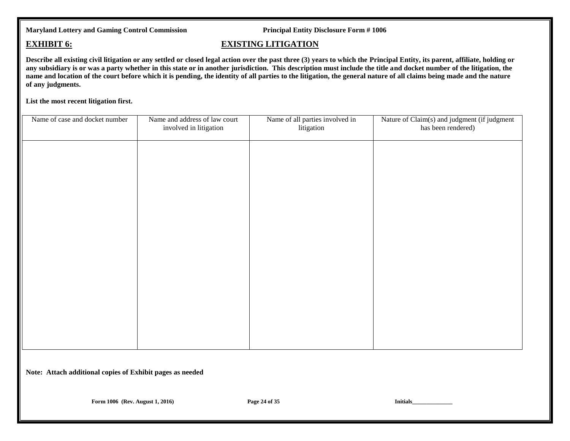### **EXHIBIT 6: EXISTING LITIGATION**

**Describe all existing civil litigation or any settled or closed legal action over the past three (3) years to which the Principal Entity, its parent, affiliate, holding or any subsidiary is or was a party whether in this state or in another jurisdiction. This description must include the title and docket number of the litigation, the**  name and location of the court before which it is pending, the identity of all parties to the litigation, the general nature of all claims being made and the nature **of any judgments.** 

**List the most recent litigation first.**

| Name of case and docket number                            | Name and address of law court<br>involved in litigation | Name of all parties involved in<br>litigation | Nature of Claim(s) and judgment (if judgment<br>has been rendered) |  |  |
|-----------------------------------------------------------|---------------------------------------------------------|-----------------------------------------------|--------------------------------------------------------------------|--|--|
|                                                           |                                                         |                                               |                                                                    |  |  |
|                                                           |                                                         |                                               |                                                                    |  |  |
|                                                           |                                                         |                                               |                                                                    |  |  |
|                                                           |                                                         |                                               |                                                                    |  |  |
|                                                           |                                                         |                                               |                                                                    |  |  |
|                                                           |                                                         |                                               |                                                                    |  |  |
|                                                           |                                                         |                                               |                                                                    |  |  |
|                                                           |                                                         |                                               |                                                                    |  |  |
|                                                           |                                                         |                                               |                                                                    |  |  |
| Note: Attach additional copies of Exhibit pages as needed |                                                         |                                               |                                                                    |  |  |
| Form 1006 (Rev. August 1, 2016)                           |                                                         | Page 24 of 35                                 | Initials_                                                          |  |  |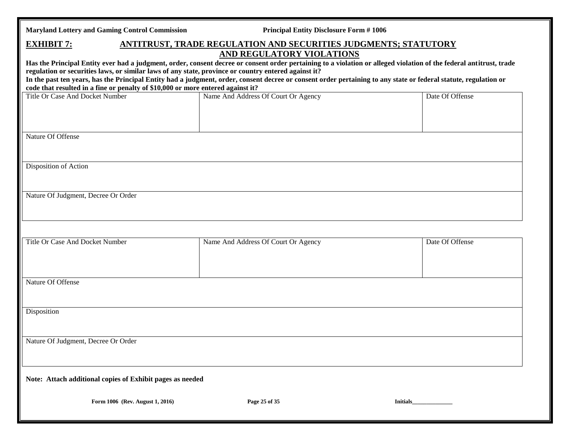|  | <b>Maryland Lottery and Gaming Control Commission</b> |  |  |  |  |
|--|-------------------------------------------------------|--|--|--|--|
|--|-------------------------------------------------------|--|--|--|--|

**Principal Entity Disclosure Form # 1006** 

| <b>EXHIBIT 7:</b><br>ANTITRUST, TRADE REGULATION AND SECURITIES JUDGMENTS; STATUTORY                                                                                                                                                                                                                                                                                                                                                                                                                                                                            |                                     |                 |  |  |  |  |
|-----------------------------------------------------------------------------------------------------------------------------------------------------------------------------------------------------------------------------------------------------------------------------------------------------------------------------------------------------------------------------------------------------------------------------------------------------------------------------------------------------------------------------------------------------------------|-------------------------------------|-----------------|--|--|--|--|
| AND REGULATORY VIOLATIONS<br>Has the Principal Entity ever had a judgment, order, consent decree or consent order pertaining to a violation or alleged violation of the federal antitrust, trade<br>regulation or securities laws, or similar laws of any state, province or country entered against it?<br>In the past ten years, has the Principal Entity had a judgment, order, consent decree or consent order pertaining to any state or federal statute, regulation or<br>code that resulted in a fine or penalty of \$10,000 or more entered against it? |                                     |                 |  |  |  |  |
| Title Or Case And Docket Number                                                                                                                                                                                                                                                                                                                                                                                                                                                                                                                                 | Name And Address Of Court Or Agency | Date Of Offense |  |  |  |  |
| Nature Of Offense                                                                                                                                                                                                                                                                                                                                                                                                                                                                                                                                               |                                     |                 |  |  |  |  |
| Disposition of Action                                                                                                                                                                                                                                                                                                                                                                                                                                                                                                                                           |                                     |                 |  |  |  |  |
| Nature Of Judgment, Decree Or Order                                                                                                                                                                                                                                                                                                                                                                                                                                                                                                                             |                                     |                 |  |  |  |  |
| Title Or Case And Docket Number                                                                                                                                                                                                                                                                                                                                                                                                                                                                                                                                 | Name And Address Of Court Or Agency | Date Of Offense |  |  |  |  |
| Nature Of Offense                                                                                                                                                                                                                                                                                                                                                                                                                                                                                                                                               |                                     |                 |  |  |  |  |
| Disposition                                                                                                                                                                                                                                                                                                                                                                                                                                                                                                                                                     |                                     |                 |  |  |  |  |
| Nature Of Judgment, Decree Or Order                                                                                                                                                                                                                                                                                                                                                                                                                                                                                                                             |                                     |                 |  |  |  |  |
| Note: Attach additional copies of Exhibit pages as needed                                                                                                                                                                                                                                                                                                                                                                                                                                                                                                       |                                     |                 |  |  |  |  |
| Form 1006 (Rev. August 1, 2016)                                                                                                                                                                                                                                                                                                                                                                                                                                                                                                                                 | Page 25 of 35                       | <b>Initials</b> |  |  |  |  |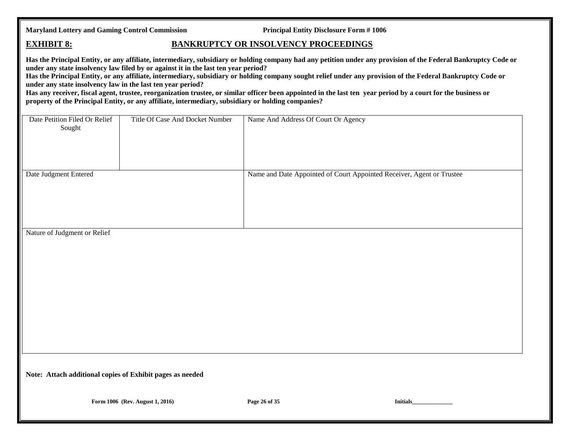### **EXHIBIT 8: BANKRUPTCY OR INSOLVENCY PROCEEDINGS**

**Has the Principal Entity, or any affiliate, intermediary, subsidiary or holding company had any petition under any provision of the Federal Bankruptcy Code or under any state insolvency law filed by or against it in the last ten year period?**

**Has the Principal Entity, or any affiliate, intermediary, subsidiary or holding company sought relief under any provision of the Federal Bankruptcy Code or under any state insolvency law in the last ten year period?**

**Has any receiver, fiscal agent, trustee, reorganization trustee, or similar officer been appointed in the last ten year period by a court for the business or property of the Principal Entity, or any affiliate, intermediary, subsidiary or holding companies?**

| Date Petition Filed Or Relief<br>Sought                   | Title Of Case And Docket Number | Name And Address Of Court Or Agency                                   |           |  |  |
|-----------------------------------------------------------|---------------------------------|-----------------------------------------------------------------------|-----------|--|--|
| Date Judgment Entered                                     |                                 | Name and Date Appointed of Court Appointed Receiver, Agent or Trustee |           |  |  |
| Nature of Judgment or Relief                              |                                 |                                                                       |           |  |  |
|                                                           |                                 |                                                                       |           |  |  |
| Note: Attach additional copies of Exhibit pages as needed |                                 |                                                                       |           |  |  |
|                                                           | Form 1006 (Rev. August 1, 2016) | Page 26 of 35                                                         | Initials_ |  |  |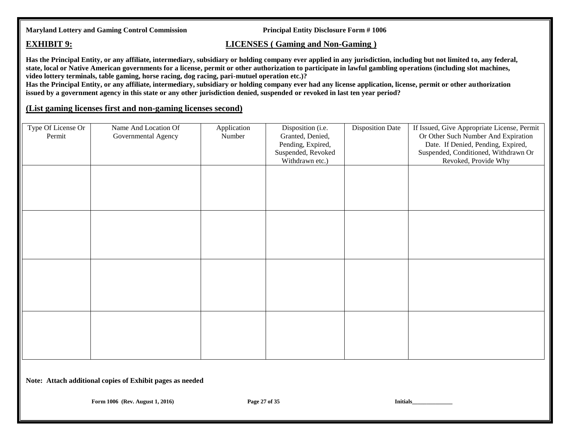### **EXHIBIT 9: LICENSES** ( Gaming and Non-Gaming )

**Has the Principal Entity, or any affiliate, intermediary, subsidiary or holding company ever applied in any jurisdiction, including but not limited to, any federal, state, local or Native American governments for a license, permit or other authorization to participate in lawful gambling operations (including slot machines, video lottery terminals, table gaming, horse racing, dog racing, pari-mutuel operation etc.)?**

**Has the Principal Entity, or any affiliate, intermediary, subsidiary or holding company ever had any license application, license, permit or other authorization issued by a government agency in this state or any other jurisdiction denied, suspended or revoked in last ten year period?**

### **(List gaming licenses first and non-gaming licenses second)**

| Type Of License Or | Name And Location Of | Application | Disposition (i.e.  | <b>Disposition Date</b> | If Issued, Give Appropriate License, Permit |
|--------------------|----------------------|-------------|--------------------|-------------------------|---------------------------------------------|
| Permit             | Governmental Agency  | Number      | Granted, Denied,   |                         | Or Other Such Number And Expiration         |
|                    |                      |             | Pending, Expired,  |                         | Date. If Denied, Pending, Expired,          |
|                    |                      |             | Suspended, Revoked |                         | Suspended, Conditioned, Withdrawn Or        |
|                    |                      |             | Withdrawn etc.)    |                         | Revoked, Provide Why                        |
|                    |                      |             |                    |                         |                                             |
|                    |                      |             |                    |                         |                                             |
|                    |                      |             |                    |                         |                                             |
|                    |                      |             |                    |                         |                                             |
|                    |                      |             |                    |                         |                                             |
|                    |                      |             |                    |                         |                                             |
|                    |                      |             |                    |                         |                                             |
|                    |                      |             |                    |                         |                                             |
|                    |                      |             |                    |                         |                                             |
|                    |                      |             |                    |                         |                                             |
|                    |                      |             |                    |                         |                                             |
|                    |                      |             |                    |                         |                                             |
|                    |                      |             |                    |                         |                                             |
|                    |                      |             |                    |                         |                                             |
|                    |                      |             |                    |                         |                                             |
|                    |                      |             |                    |                         |                                             |
|                    |                      |             |                    |                         |                                             |
|                    |                      |             |                    |                         |                                             |
|                    |                      |             |                    |                         |                                             |
|                    |                      |             |                    |                         |                                             |
|                    |                      |             |                    |                         |                                             |
|                    |                      |             |                    |                         |                                             |
|                    |                      |             |                    |                         |                                             |

**Note: Attach additional copies of Exhibit pages as needed**

**Form 1006 (Rev. August 1, 2016) Page 27 of 35 Initials\_**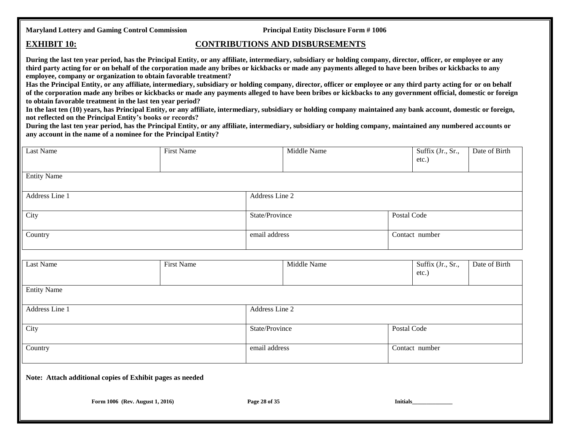### **EXHIBIT 10: CONTRIBUTIONS AND DISBURSEMENTS**

**During the last ten year period, has the Principal Entity, or any affiliate, intermediary, subsidiary or holding company, director, officer, or employee or any third party acting for or on behalf of the corporation made any bribes or kickbacks or made any payments alleged to have been bribes or kickbacks to any employee, company or organization to obtain favorable treatment?**

**Has the Principal Entity, or any affiliate, intermediary, subsidiary or holding company, director, officer or employee or any third party acting for or on behalf of the corporation made any bribes or kickbacks or made any payments alleged to have been bribes or kickbacks to any government official, domestic or foreign to obtain favorable treatment in the last ten year period?**

**In the last ten (10) years, has Principal Entity, or any affiliate, intermediary, subsidiary or holding company maintained any bank account, domestic or foreign, not reflected on the Principal Entity's books or records?**

**During the last ten year period, has the Principal Entity, or any affiliate, intermediary, subsidiary or holding company, maintained any numbered accounts or any account in the name of a nominee for the Principal Entity?**

| Last Name                                                 | First Name     |                | Middle Name |                 | Suffix (Jr., Sr.,<br>etc.)    | Date of Birth |
|-----------------------------------------------------------|----------------|----------------|-------------|-----------------|-------------------------------|---------------|
| <b>Entity Name</b>                                        |                |                |             |                 |                               |               |
| Address Line 1                                            |                | Address Line 2 |             |                 |                               |               |
| City                                                      | State/Province |                |             | Postal Code     |                               |               |
| Country                                                   |                | email address  |             |                 | Contact number                |               |
|                                                           |                |                |             |                 |                               |               |
| Last Name                                                 | First Name     |                | Middle Name |                 | Suffix (Jr., Sr.,<br>$etc.$ ) | Date of Birth |
| <b>Entity Name</b>                                        |                |                |             |                 |                               |               |
| Address Line 1                                            |                | Address Line 2 |             |                 |                               |               |
| City                                                      |                | State/Province |             | Postal Code     |                               |               |
| Country                                                   |                | email address  |             |                 | Contact number                |               |
| Note: Attach additional copies of Exhibit pages as needed |                |                |             |                 |                               |               |
| Form 1006 (Rev. August 1, 2016)                           |                | Page 28 of 35  |             | <b>Initials</b> |                               |               |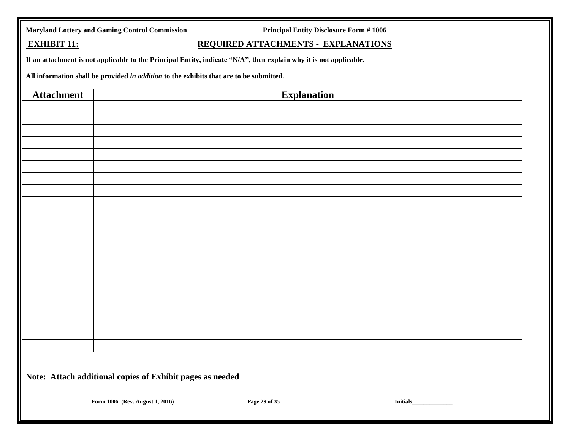|  |  | <b>Maryland Lottery and Gaming Control Commission</b> |
|--|--|-------------------------------------------------------|
|  |  |                                                       |

**Principal Entity Disclosure Form # 1006** 

## **EXHIBIT 11: REQUIRED ATTACHMENTS - EXPLANATIONS**

**If an attachment is not applicable to the Principal Entity, indicate "N/A", then explain why it is not applicable.** 

**All information shall be provided** *in addition* **to the exhibits that are to be submitted.**

| <b>Attachment</b>                                         |                                 | <b>Explanation</b> |           |  |  |
|-----------------------------------------------------------|---------------------------------|--------------------|-----------|--|--|
|                                                           |                                 |                    |           |  |  |
|                                                           |                                 |                    |           |  |  |
|                                                           |                                 |                    |           |  |  |
|                                                           |                                 |                    |           |  |  |
|                                                           |                                 |                    |           |  |  |
|                                                           |                                 |                    |           |  |  |
|                                                           |                                 |                    |           |  |  |
|                                                           |                                 |                    |           |  |  |
|                                                           |                                 |                    |           |  |  |
|                                                           |                                 |                    |           |  |  |
|                                                           |                                 |                    |           |  |  |
|                                                           |                                 |                    |           |  |  |
|                                                           |                                 |                    |           |  |  |
|                                                           |                                 |                    |           |  |  |
|                                                           |                                 |                    |           |  |  |
|                                                           |                                 |                    |           |  |  |
|                                                           |                                 |                    |           |  |  |
|                                                           |                                 |                    |           |  |  |
|                                                           |                                 |                    |           |  |  |
|                                                           |                                 |                    |           |  |  |
|                                                           |                                 |                    |           |  |  |
| Note: Attach additional copies of Exhibit pages as needed |                                 |                    |           |  |  |
|                                                           | Form 1006 (Rev. August 1, 2016) | Page 29 of 35      | Initials_ |  |  |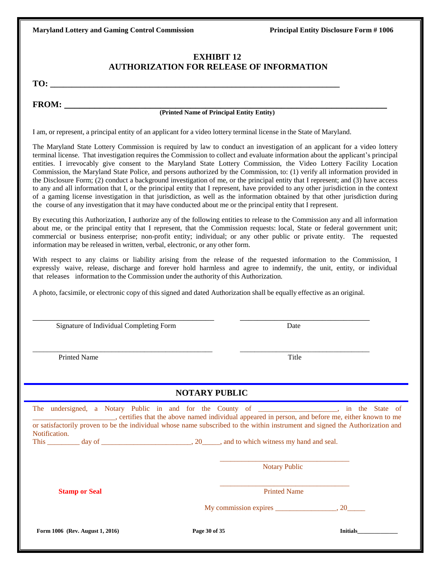### **EXHIBIT 12 AUTHORIZATION FOR RELEASE OF INFORMATION**

**TO: \_\_\_\_\_\_\_\_\_\_\_\_\_\_\_\_\_\_\_\_\_\_\_\_\_\_\_\_\_\_\_\_\_\_\_\_\_\_\_\_\_\_\_\_\_\_\_\_\_\_\_\_\_\_\_\_\_\_\_\_\_\_\_\_\_\_\_**

**FROM: \_\_\_\_\_\_\_\_\_\_\_\_\_\_\_\_\_\_\_\_\_\_\_\_\_\_\_\_\_\_\_\_\_\_\_\_\_\_\_\_\_\_\_\_\_\_\_\_\_\_\_\_\_\_\_\_\_\_\_\_\_\_\_\_**

### **(Printed Name of Principal Entity Entity)**

I am, or represent, a principal entity of an applicant for a video lottery terminal license in the State of Maryland.

The Maryland State Lottery Commission is required by law to conduct an investigation of an applicant for a video lottery terminal license. That investigation requires the Commission to collect and evaluate information about the applicant's principal entities. I irrevocably give consent to the Maryland State Lottery Commission, the Video Lottery Facility Location Commission, the Maryland State Police, and persons authorized by the Commission, to: (1) verify all information provided in the Disclosure Form; (2) conduct a background investigation of me, or the principal entity that I represent; and (3) have access to any and all information that I, or the principal entity that I represent, have provided to any other jurisdiction in the context of a gaming license investigation in that jurisdiction, as well as the information obtained by that other jurisdiction during the course of any investigation that it may have conducted about me or the principal entity that I represent.

By executing this Authorization, I authorize any of the following entities to release to the Commission any and all information about me, or the principal entity that I represent, that the Commission requests: local, State or federal government unit; commercial or business enterprise; non-profit entity; individual; or any other public or private entity. The requested information may be released in written, verbal, electronic, or any other form.

With respect to any claims or liability arising from the release of the requested information to the Commission, I expressly waive, release, discharge and forever hold harmless and agree to indemnify, the unit, entity, or individual that releases information to the Commission under the authority of this Authorization.

A photo, facsimile, or electronic copy of this signed and dated Authorization shall be equally effective as an original.

\_\_\_\_\_\_\_\_\_\_\_\_\_\_\_\_\_\_\_\_\_\_\_\_\_\_\_\_\_\_\_\_\_\_\_\_\_\_\_\_\_\_ \_\_\_\_\_\_\_\_\_\_\_\_\_\_\_\_\_\_\_\_\_\_\_\_\_\_\_\_\_\_

\_\_\_\_\_\_\_\_\_\_\_\_\_\_\_\_\_\_\_\_\_\_\_\_\_\_\_\_\_\_\_\_\_\_\_\_\_\_\_\_\_\_\_\_\_\_\_\_\_\_ \_\_\_\_\_\_\_\_\_\_\_\_\_\_\_\_\_\_\_\_\_\_\_\_\_\_\_\_\_\_\_\_\_\_\_\_

| Signature of Individual Completing Form | Date |
|-----------------------------------------|------|
|                                         |      |

Printed Name Title

### **NOTARY PUBLIC**

| The undersigned, a Notary Public in and for the County of _________________, in the State of                                  |               | certifies that the above named individual appeared in person, and before me, either known to me |                 |
|-------------------------------------------------------------------------------------------------------------------------------|---------------|-------------------------------------------------------------------------------------------------|-----------------|
| or satisfactorily proven to be the individual whose name subscribed to the within instrument and signed the Authorization and |               |                                                                                                 |                 |
| Notification.                                                                                                                 |               |                                                                                                 |                 |
| This $\frac{day \text{ of }_{x} x}{x}$ day of $\frac{1}{x}$ , and to which witness my hand and seal.                          |               |                                                                                                 |                 |
|                                                                                                                               |               |                                                                                                 |                 |
|                                                                                                                               |               | <b>Notary Public</b>                                                                            |                 |
| <b>Stamp or Seal</b>                                                                                                          |               | <b>Printed Name</b>                                                                             |                 |
|                                                                                                                               |               |                                                                                                 |                 |
|                                                                                                                               |               |                                                                                                 |                 |
|                                                                                                                               |               |                                                                                                 |                 |
| Form 1006 (Rev. August 1, 2016)                                                                                               | Page 30 of 35 |                                                                                                 | <b>Initials</b> |
|                                                                                                                               |               |                                                                                                 |                 |
|                                                                                                                               |               |                                                                                                 |                 |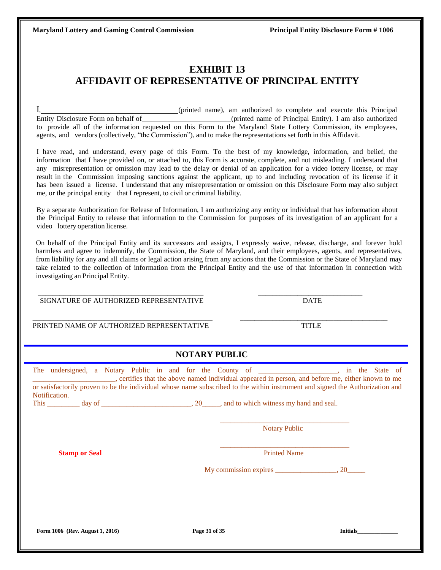## **EXHIBIT 13 AFFIDAVIT OF REPRESENTATIVE OF PRINCIPAL ENTITY**

I, (printed name), am authorized to complete and execute this Principal Entity Disclosure Form on behalf of (printed name of Principal Entity). I am also authorized to provide all of the information requested on this Form to the Maryland State Lottery Commission, its employees, agents, and vendors (collectively, "the Commission"), and to make the representations set forth in this Affidavit.

I have read, and understand, every page of this Form. To the best of my knowledge, information, and belief, the information that I have provided on, or attached to, this Form is accurate, complete, and not misleading. I understand that any misrepresentation or omission may lead to the delay or denial of an application for a video lottery license, or may result in the Commission imposing sanctions against the applicant, up to and including revocation of its license if it has been issued a license. I understand that any misrepresentation or omission on this Disclosure Form may also subject me, or the principal entity that I represent, to civil or criminal liability.

By a separate Authorization for Release of Information, I am authorizing any entity or individual that has information about the Principal Entity to release that information to the Commission for purposes of its investigation of an applicant for a video lottery operation license.

On behalf of the Principal Entity and its successors and assigns, I expressly waive, release, discharge, and forever hold harmless and agree to indemnify, the Commission, the State of Maryland, and their employees, agents, and representatives, from liability for any and all claims or legal action arising from any actions that the Commission or the State of Maryland may take related to the collection of information from the Principal Entity and the use of that information in connection with investigating an Principal Entity.

SIGNATURE OF AUTHORIZED REPRESENTATIVE DATE

PRINTED NAME OF AUTHORIZED REPRESENTATIVE TITLE

### **NOTARY PUBLIC**

\_\_\_\_\_\_\_\_\_\_\_\_\_\_\_\_\_\_\_\_\_\_\_\_\_\_\_\_\_\_\_\_\_\_\_\_\_\_\_\_\_\_\_\_\_\_\_\_\_\_ \_\_\_\_\_\_\_\_\_\_\_\_\_\_\_\_\_\_\_\_\_\_\_\_\_\_\_\_\_\_\_\_\_\_\_\_\_\_\_\_\_

 $\overline{\phantom{a}}$  , and the set of the set of the set of the set of the set of the set of the set of the set of the set of the set of the set of the set of the set of the set of the set of the set of the set of the set of the s

| The undersigned, a Notary Public in and for the County of _________________, in the State of<br>ertifies that the above named individual appeared in person, and before me, either known to me<br>or satisfactorily proven to be the individual whose name subscribed to the within instrument and signed the Authorization and<br>Notification. |               |                      |                 |
|--------------------------------------------------------------------------------------------------------------------------------------------------------------------------------------------------------------------------------------------------------------------------------------------------------------------------------------------------|---------------|----------------------|-----------------|
|                                                                                                                                                                                                                                                                                                                                                  |               | <b>Notary Public</b> |                 |
| <b>Stamp or Seal</b>                                                                                                                                                                                                                                                                                                                             |               | <b>Printed Name</b>  |                 |
|                                                                                                                                                                                                                                                                                                                                                  |               |                      |                 |
|                                                                                                                                                                                                                                                                                                                                                  |               |                      |                 |
|                                                                                                                                                                                                                                                                                                                                                  |               |                      |                 |
| Form 1006 (Rev. August 1, 2016)                                                                                                                                                                                                                                                                                                                  | Page 31 of 35 |                      | <b>Initials</b> |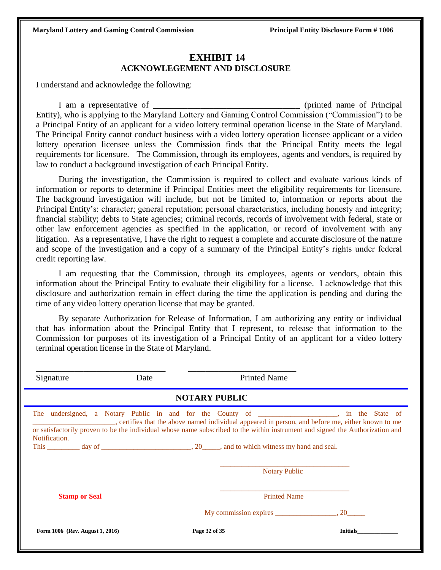### **EXHIBIT 14 ACKNOWLEGEMENT AND DISCLOSURE**

I understand and acknowledge the following:

I am a representative of the set of the set of the set of the set of the set of  $\alpha$  (printed name of Principal Entity), who is applying to the Maryland Lottery and Gaming Control Commission ("Commission") to be a Principal Entity of an applicant for a video lottery terminal operation license in the State of Maryland. The Principal Entity cannot conduct business with a video lottery operation licensee applicant or a video lottery operation licensee unless the Commission finds that the Principal Entity meets the legal requirements for licensure. The Commission, through its employees, agents and vendors, is required by law to conduct a background investigation of each Principal Entity.

During the investigation, the Commission is required to collect and evaluate various kinds of information or reports to determine if Principal Entities meet the eligibility requirements for licensure. The background investigation will include, but not be limited to, information or reports about the Principal Entity's: character; general reputation; personal characteristics, including honesty and integrity; financial stability; debts to State agencies; criminal records, records of involvement with federal, state or other law enforcement agencies as specified in the application, or record of involvement with any litigation. As a representative, I have the right to request a complete and accurate disclosure of the nature and scope of the investigation and a copy of a summary of the Principal Entity's rights under federal credit reporting law.

I am requesting that the Commission, through its employees, agents or vendors, obtain this information about the Principal Entity to evaluate their eligibility for a license. I acknowledge that this disclosure and authorization remain in effect during the time the application is pending and during the time of any video lottery operation license that may be granted.

By separate Authorization for Release of Information, I am authorizing any entity or individual that has information about the Principal Entity that I represent, to release that information to the Commission for purposes of its investigation of a Principal Entity of an applicant for a video lottery terminal operation license in the State of Maryland.

| Signature                       | Date | <b>Printed Name</b>                                                                                                                                                                                                                                                                                                                                                                                                                     |                 |  |
|---------------------------------|------|-----------------------------------------------------------------------------------------------------------------------------------------------------------------------------------------------------------------------------------------------------------------------------------------------------------------------------------------------------------------------------------------------------------------------------------------|-----------------|--|
| <b>NOTARY PUBLIC</b>            |      |                                                                                                                                                                                                                                                                                                                                                                                                                                         |                 |  |
| Notification.                   |      | The undersigned, a Notary Public in and for the County of _________________, in the State of<br>, certifies that the above named individual appeared in person, and before me, either known to me<br>or satisfactorily proven to be the individual whose name subscribed to the within instrument and signed the Authorization and<br>This $\_\_\_\_$ day of $\_\_\_\_\_\_\_$ , 20 $\_\_\_\_\$ , and to which witness my hand and seal. |                 |  |
|                                 |      | <b>Notary Public</b>                                                                                                                                                                                                                                                                                                                                                                                                                    |                 |  |
| <b>Stamp or Seal</b>            |      | <b>Printed Name</b>                                                                                                                                                                                                                                                                                                                                                                                                                     |                 |  |
|                                 |      |                                                                                                                                                                                                                                                                                                                                                                                                                                         |                 |  |
| Form 1006 (Rev. August 1, 2016) |      | Page 32 of 35                                                                                                                                                                                                                                                                                                                                                                                                                           | <b>Initials</b> |  |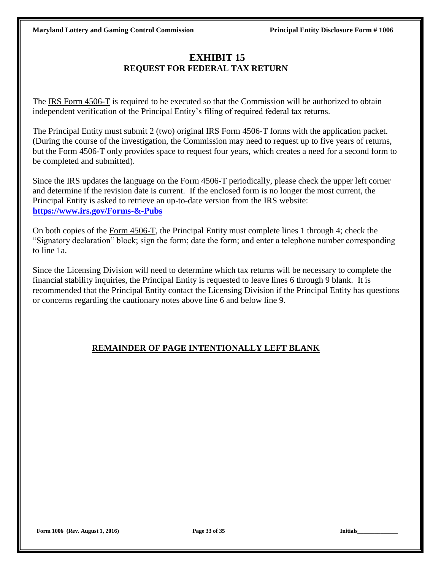# **EXHIBIT 15 REQUEST FOR FEDERAL TAX RETURN**

The IRS Form 4506-T is required to be executed so that the Commission will be authorized to obtain independent verification of the Principal Entity's filing of required federal tax returns.

The Principal Entity must submit 2 (two) original IRS Form 4506-T forms with the application packet. (During the course of the investigation, the Commission may need to request up to five years of returns, but the Form 4506-T only provides space to request four years, which creates a need for a second form to be completed and submitted).

Since the IRS updates the language on the Form 4506-T periodically, please check the upper left corner and determine if the revision date is current. If the enclosed form is no longer the most current, the Principal Entity is asked to retrieve an up-to-date version from the IRS website: **<https://www.irs.gov/Forms-&-Pubs>**

On both copies of the Form 4506-T, the Principal Entity must complete lines 1 through 4; check the "Signatory declaration" block; sign the form; date the form; and enter a telephone number corresponding to line 1a.

Since the Licensing Division will need to determine which tax returns will be necessary to complete the financial stability inquiries, the Principal Entity is requested to leave lines 6 through 9 blank. It is recommended that the Principal Entity contact the Licensing Division if the Principal Entity has questions or concerns regarding the cautionary notes above line 6 and below line 9.

# **REMAINDER OF PAGE INTENTIONALLY LEFT BLANK**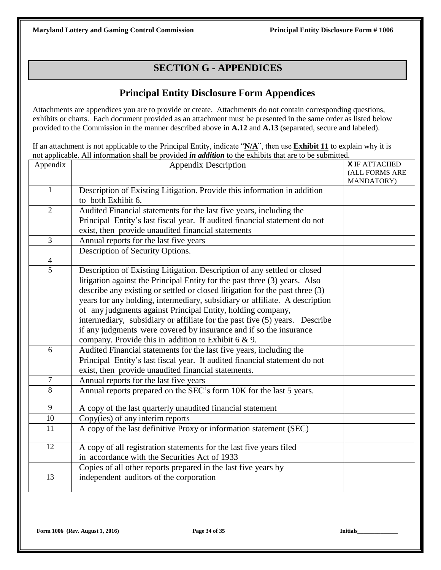# **SECTION G - APPENDICES**

# **Principal Entity Disclosure Form Appendices**

Attachments are appendices you are to provide or create. Attachments do not contain corresponding questions, exhibits or charts. Each document provided as an attachment must be presented in the same order as listed below provided to the Commission in the manner described above in **A.12** and **A.13** (separated, secure and labeled).

If an attachment is not applicable to the Principal Entity, indicate "N/A", then use **Exhibit 11** to explain why it is not applicable. All information shall be provided *in addition* to the exhibits that are to be submitted.

| Appendix       | <b>Appendix Description</b>                                                                                                                                                                                                                                                                                                                                                                                                                                                                                                                                                                         | <b>X</b> IF ATTACHED<br>(ALL FORMS ARE<br>MANDATORY) |
|----------------|-----------------------------------------------------------------------------------------------------------------------------------------------------------------------------------------------------------------------------------------------------------------------------------------------------------------------------------------------------------------------------------------------------------------------------------------------------------------------------------------------------------------------------------------------------------------------------------------------------|------------------------------------------------------|
| $\mathbf{1}$   | Description of Existing Litigation. Provide this information in addition<br>to both Exhibit 6.                                                                                                                                                                                                                                                                                                                                                                                                                                                                                                      |                                                      |
| $\overline{2}$ | Audited Financial statements for the last five years, including the<br>Principal Entity's last fiscal year. If audited financial statement do not<br>exist, then provide unaudited financial statements                                                                                                                                                                                                                                                                                                                                                                                             |                                                      |
| 3              | Annual reports for the last five years                                                                                                                                                                                                                                                                                                                                                                                                                                                                                                                                                              |                                                      |
| $\overline{4}$ | Description of Security Options.                                                                                                                                                                                                                                                                                                                                                                                                                                                                                                                                                                    |                                                      |
| 5              | Description of Existing Litigation. Description of any settled or closed<br>litigation against the Principal Entity for the past three (3) years. Also<br>describe any existing or settled or closed litigation for the past three (3)<br>years for any holding, intermediary, subsidiary or affiliate. A description<br>of any judgments against Principal Entity, holding company,<br>intermediary, subsidiary or affiliate for the past five (5) years. Describe<br>if any judgments were covered by insurance and if so the insurance<br>company. Provide this in addition to Exhibit $6 & 9$ . |                                                      |
| 6              | Audited Financial statements for the last five years, including the<br>Principal Entity's last fiscal year. If audited financial statement do not<br>exist, then provide unaudited financial statements.                                                                                                                                                                                                                                                                                                                                                                                            |                                                      |
| $\tau$         | Annual reports for the last five years                                                                                                                                                                                                                                                                                                                                                                                                                                                                                                                                                              |                                                      |
| 8              | Annual reports prepared on the SEC's form 10K for the last 5 years.                                                                                                                                                                                                                                                                                                                                                                                                                                                                                                                                 |                                                      |
| 9              | A copy of the last quarterly unaudited financial statement                                                                                                                                                                                                                                                                                                                                                                                                                                                                                                                                          |                                                      |
| 10             | Copy(ies) of any interim reports                                                                                                                                                                                                                                                                                                                                                                                                                                                                                                                                                                    |                                                      |
| 11             | A copy of the last definitive Proxy or information statement (SEC)                                                                                                                                                                                                                                                                                                                                                                                                                                                                                                                                  |                                                      |
| 12             | A copy of all registration statements for the last five years filed<br>in accordance with the Securities Act of 1933                                                                                                                                                                                                                                                                                                                                                                                                                                                                                |                                                      |
| 13             | Copies of all other reports prepared in the last five years by<br>independent auditors of the corporation                                                                                                                                                                                                                                                                                                                                                                                                                                                                                           |                                                      |